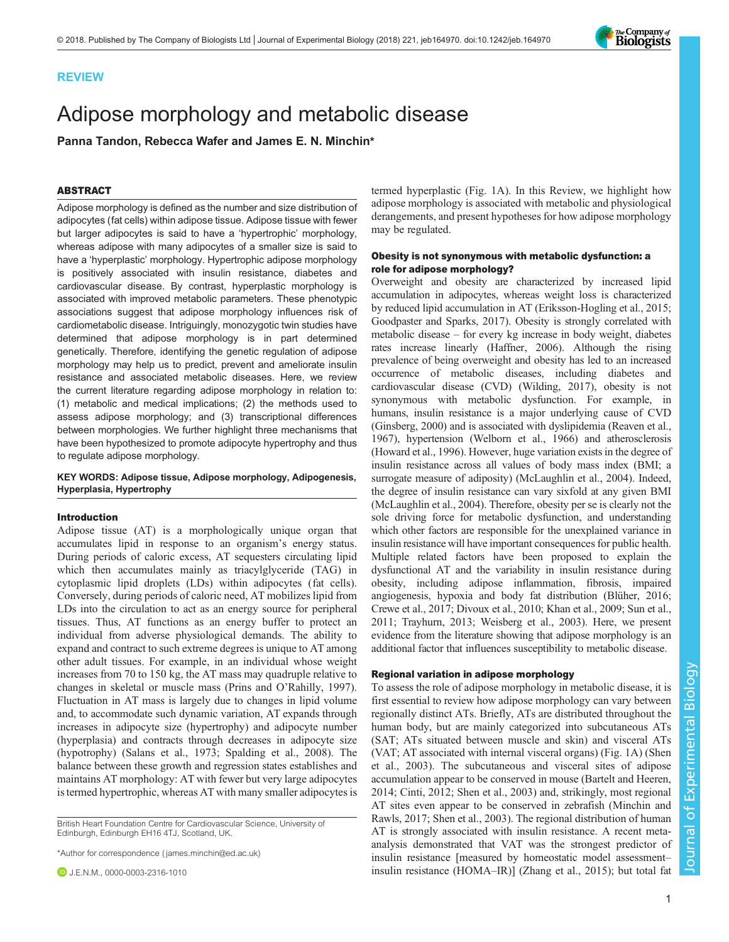

# REVIEW

# Adipose morphology and metabolic disease

Panna Tandon, Rebecca Wafer and James E. N. Minchin\*

# ABSTRACT

Adipose morphology is defined as the number and size distribution of adipocytes (fat cells) within adipose tissue. Adipose tissue with fewer but larger adipocytes is said to have a 'hypertrophic' morphology, whereas adipose with many adipocytes of a smaller size is said to have a 'hyperplastic' morphology. Hypertrophic adipose morphology is positively associated with insulin resistance, diabetes and cardiovascular disease. By contrast, hyperplastic morphology is associated with improved metabolic parameters. These phenotypic associations suggest that adipose morphology influences risk of cardiometabolic disease. Intriguingly, monozygotic twin studies have determined that adipose morphology is in part determined genetically. Therefore, identifying the genetic regulation of adipose morphology may help us to predict, prevent and ameliorate insulin resistance and associated metabolic diseases. Here, we review the current literature regarding adipose morphology in relation to: (1) metabolic and medical implications; (2) the methods used to assess adipose morphology; and (3) transcriptional differences between morphologies. We further highlight three mechanisms that have been hypothesized to promote adipocyte hypertrophy and thus to regulate adipose morphology.

# KEY WORDS: Adipose tissue, Adipose morphology, Adipogenesis, Hyperplasia, Hypertrophy

### Introduction

Adipose tissue (AT) is a morphologically unique organ that accumulates lipid in response to an organism's energy status. During periods of caloric excess, AT sequesters circulating lipid which then accumulates mainly as triacylglyceride (TAG) in cytoplasmic lipid droplets (LDs) within adipocytes (fat cells). Conversely, during periods of caloric need, AT mobilizes lipid from LDs into the circulation to act as an energy source for peripheral tissues. Thus, AT functions as an energy buffer to protect an individual from adverse physiological demands. The ability to expand and contract to such extreme degrees is unique to AT among other adult tissues. For example, in an individual whose weight increases from 70 to 150 kg, the AT mass may quadruple relative to changes in skeletal or muscle mass (Prins and O'[Rahilly, 1997\)](#page-10-0). Fluctuation in AT mass is largely due to changes in lipid volume and, to accommodate such dynamic variation, AT expands through increases in adipocyte size (hypertrophy) and adipocyte number (hyperplasia) and contracts through decreases in adipocyte size (hypotrophy) ([Salans et al., 1973](#page-10-0); [Spalding et al., 2008\)](#page-10-0). The balance between these growth and regression states establishes and maintains AT morphology: AT with fewer but very large adipocytes is termed hypertrophic, whereas AT with many smaller adipocytes is

British Heart Foundation Centre for Cardiovascular Science, University of Edinburgh, Edinburgh EH16 4TJ, Scotland, UK.

\*Author for correspondence [\( james.minchin@ed.ac.uk\)](mailto:james.minchin@ed.ac.uk)

**D** J.E.N.M., [0000-0003-2316-1010](http://orcid.org/0000-0003-2316-1010)

termed hyperplastic [\(Fig. 1](#page-1-0)A). In this Review, we highlight how adipose morphology is associated with metabolic and physiological derangements, and present hypotheses for how adipose morphology may be regulated.

# Obesity is not synonymous with metabolic dysfunction: a role for adipose morphology?

Overweight and obesity are characterized by increased lipid accumulation in adipocytes, whereas weight loss is characterized by reduced lipid accumulation in AT [\(Eriksson-Hogling et al., 2015](#page-8-0); [Goodpaster and Sparks, 2017](#page-9-0)). Obesity is strongly correlated with metabolic disease – for every kg increase in body weight, diabetes rates increase linearly [\(Haffner, 2006\)](#page-9-0). Although the rising prevalence of being overweight and obesity has led to an increased occurrence of metabolic diseases, including diabetes and cardiovascular disease (CVD) ([Wilding, 2017\)](#page-10-0), obesity is not synonymous with metabolic dysfunction. For example, in humans, insulin resistance is a major underlying cause of CVD [\(Ginsberg, 2000](#page-8-0)) and is associated with dyslipidemia [\(Reaven et al.,](#page-10-0) [1967\)](#page-10-0), hypertension ([Welborn et al., 1966\)](#page-10-0) and atherosclerosis [\(Howard et al., 1996\)](#page-9-0). However, huge variation exists in the degree of insulin resistance across all values of body mass index (BMI; a surrogate measure of adiposity) [\(McLaughlin et al., 2004](#page-9-0)). Indeed, the degree of insulin resistance can vary sixfold at any given BMI [\(McLaughlin et al., 2004\)](#page-9-0). Therefore, obesity per se is clearly not the sole driving force for metabolic dysfunction, and understanding which other factors are responsible for the unexplained variance in insulin resistance will have important consequences for public health. Multiple related factors have been proposed to explain the dysfunctional AT and the variability in insulin resistance during obesity, including adipose inflammation, fibrosis, impaired angiogenesis, hypoxia and body fat distribution [\(Blüher, 2016](#page-8-0); [Crewe et al., 2017; Divoux et al., 2010](#page-8-0); [Khan et al., 2009](#page-9-0); [Sun et al.,](#page-10-0) [2011; Trayhurn, 2013; Weisberg et al., 2003](#page-10-0)). Here, we present evidence from the literature showing that adipose morphology is an additional factor that influences susceptibility to metabolic disease.

### Regional variation in adipose morphology

To assess the role of adipose morphology in metabolic disease, it is first essential to review how adipose morphology can vary between regionally distinct ATs. Briefly, ATs are distributed throughout the human body, but are mainly categorized into subcutaneous ATs (SAT; ATs situated between muscle and skin) and visceral ATs (VAT; AT associated with internal visceral organs) ([Fig. 1A](#page-1-0)) [\(Shen](#page-10-0) [et al., 2003\)](#page-10-0). The subcutaneous and visceral sites of adipose accumulation appear to be conserved in mouse [\(Bartelt and Heeren,](#page-8-0) [2014; Cinti, 2012;](#page-8-0) [Shen et al., 2003\)](#page-10-0) and, strikingly, most regional AT sites even appear to be conserved in zebrafish ([Minchin and](#page-9-0) [Rawls, 2017;](#page-9-0) [Shen et al., 2003](#page-10-0)). The regional distribution of human AT is strongly associated with insulin resistance. A recent metaanalysis demonstrated that VAT was the strongest predictor of insulin resistance [measured by homeostatic model assessment– insulin resistance (HOMA–IR)] [\(Zhang et al., 2015](#page-10-0)); but total fat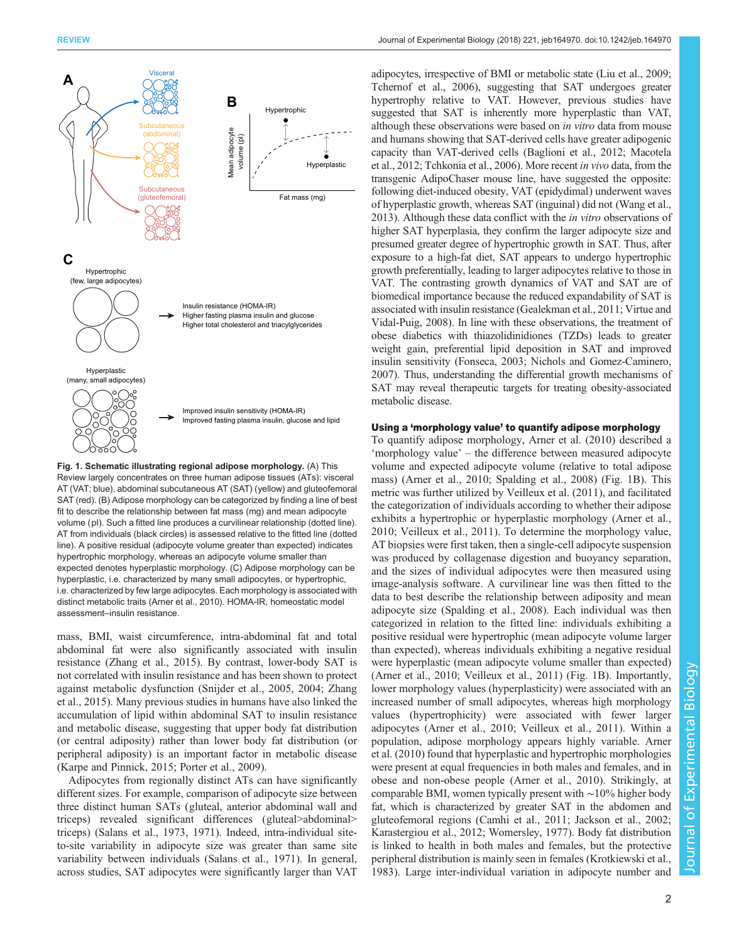<span id="page-1-0"></span>

Fig. 1. Schematic illustrating regional adipose morphology. (A) This Review largely concentrates on three human adipose tissues (ATs): visceral AT (VAT; blue), abdominal subcutaneous AT (SAT) (yellow) and gluteofemoral SAT (red). (B) Adipose morphology can be categorized by finding a line of best fit to describe the relationship between fat mass (mg) and mean adipocyte volume (pl). Such a fitted line produces a curvilinear relationship (dotted line). AT from individuals (black circles) is assessed relative to the fitted line (dotted line). A positive residual (adipocyte volume greater than expected) indicates hypertrophic morphology, whereas an adipocyte volume smaller than expected denotes hyperplastic morphology. (C) Adipose morphology can be hyperplastic, i.e. characterized by many small adipocytes, or hypertrophic, i.e. characterized by few large adipocytes. Each morphology is associated with distinct metabolic traits [\(Arner et al., 2010](#page-8-0)). HOMA-IR, homeostatic model assessment–insulin resistance.

mass, BMI, waist circumference, intra-abdominal fat and total abdominal fat were also significantly associated with insulin resistance ([Zhang et al., 2015](#page-10-0)). By contrast, lower-body SAT is not correlated with insulin resistance and has been shown to protect against metabolic dysfunction ([Snijder et al., 2005, 2004; Zhang](#page-10-0) [et al., 2015\)](#page-10-0). Many previous studies in humans have also linked the accumulation of lipid within abdominal SAT to insulin resistance and metabolic disease, suggesting that upper body fat distribution (or central adiposity) rather than lower body fat distribution (or peripheral adiposity) is an important factor in metabolic disease [\(Karpe and Pinnick, 2015;](#page-9-0) [Porter et al., 2009\)](#page-10-0).

Adipocytes from regionally distinct ATs can have significantly different sizes. For example, comparison of adipocyte size between three distinct human SATs (gluteal, anterior abdominal wall and triceps) revealed significant differences (gluteal>abdominal> triceps) ([Salans et al., 1973, 1971\)](#page-10-0). Indeed, intra-individual siteto-site variability in adipocyte size was greater than same site variability between individuals ([Salans et al., 1971\)](#page-10-0). In general, across studies, SAT adipocytes were significantly larger than VAT

adipocytes, irrespective of BMI or metabolic state [\(Liu et al., 2009](#page-9-0); [Tchernof et al., 2006\)](#page-10-0), suggesting that SAT undergoes greater hypertrophy relative to VAT. However, previous studies have suggested that SAT is inherently more hyperplastic than VAT, although these observations were based on in vitro data from mouse and humans showing that SAT-derived cells have greater adipogenic capacity than VAT-derived cells ([Baglioni et al., 2012](#page-8-0); [Macotela](#page-9-0) [et al., 2012](#page-9-0); [Tchkonia et al., 2006](#page-10-0)). More recent in vivo data, from the transgenic AdipoChaser mouse line, have suggested the opposite: following diet-induced obesity, VAT (epidydimal) underwent waves of hyperplastic growth, whereas SAT (inguinal) did not [\(Wang et al.,](#page-10-0) [2013\)](#page-10-0). Although these data conflict with the in vitro observations of higher SAT hyperplasia, they confirm the larger adipocyte size and presumed greater degree of hypertrophic growth in SAT. Thus, after exposure to a high-fat diet, SAT appears to undergo hypertrophic growth preferentially, leading to larger adipocytes relative to those in VAT. The contrasting growth dynamics of VAT and SAT are of biomedical importance because the reduced expandability of SAT is associated with insulin resistance [\(Gealekman et al., 2011;](#page-8-0) [Virtue and](#page-10-0) [Vidal-Puig, 2008](#page-10-0)). In line with these observations, the treatment of obese diabetics with thiazolidinidiones (TZDs) leads to greater weight gain, preferential lipid deposition in SAT and improved insulin sensitivity [\(Fonseca, 2003;](#page-8-0) [Nichols and Gomez-Caminero,](#page-9-0) [2007\)](#page-9-0). Thus, understanding the differential growth mechanisms of SAT may reveal therapeutic targets for treating obesity-associated metabolic disease.

# Using a 'morphology value' to quantify adipose morphology

To quantify adipose morphology, [Arner et al. \(2010\)](#page-8-0) described a 'morphology value' – the difference between measured adipocyte volume and expected adipocyte volume (relative to total adipose mass) ([Arner et al., 2010;](#page-8-0) [Spalding et al., 2008\)](#page-10-0) (Fig. 1B). This metric was further utilized by [Veilleux et al. \(2011\)](#page-10-0), and facilitated the categorization of individuals according to whether their adipose exhibits a hypertrophic or hyperplastic morphology [\(Arner et al.,](#page-8-0) [2010;](#page-8-0) [Veilleux et al., 2011](#page-10-0)). To determine the morphology value, AT biopsies were first taken, then a single-cell adipocyte suspension was produced by collagenase digestion and buoyancy separation, and the sizes of individual adipocytes were then measured using image-analysis software. A curvilinear line was then fitted to the data to best describe the relationship between adiposity and mean adipocyte size ([Spalding et al., 2008\)](#page-10-0). Each individual was then categorized in relation to the fitted line: individuals exhibiting a positive residual were hypertrophic (mean adipocyte volume larger than expected), whereas individuals exhibiting a negative residual were hyperplastic (mean adipocyte volume smaller than expected) [\(Arner et al., 2010](#page-8-0); [Veilleux et al., 2011\)](#page-10-0) (Fig. 1B). Importantly, lower morphology values (hyperplasticity) were associated with an increased number of small adipocytes, whereas high morphology values (hypertrophicity) were associated with fewer larger adipocytes ([Arner et al., 2010](#page-8-0); [Veilleux et al., 2011\)](#page-10-0). Within a population, adipose morphology appears highly variable. [Arner](#page-8-0) [et al. \(2010\)](#page-8-0) found that hyperplastic and hypertrophic morphologies were present at equal frequencies in both males and females, and in obese and non-obese people ([Arner et al., 2010](#page-8-0)). Strikingly, at comparable BMI, women typically present with ∼10% higher body fat, which is characterized by greater SAT in the abdomen and gluteofemoral regions ([Camhi et al., 2011;](#page-8-0) [Jackson et al., 2002](#page-9-0); [Karastergiou et al., 2012](#page-9-0); [Womersley, 1977](#page-10-0)). Body fat distribution is linked to health in both males and females, but the protective peripheral distribution is mainly seen in females ([Krotkiewski et al.,](#page-9-0) [1983\)](#page-9-0). Large inter-individual variation in adipocyte number and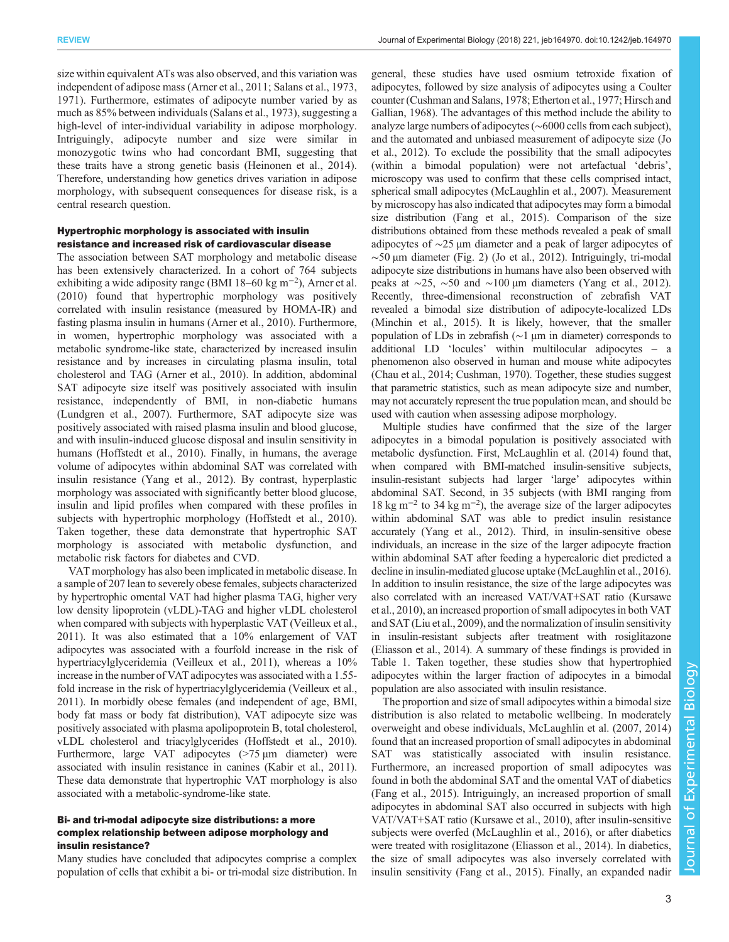size within equivalent ATs was also observed, and this variation was independent of adipose mass ([Arner et al., 2011](#page-8-0); [Salans et al., 1973,](#page-10-0) [1971](#page-10-0)). Furthermore, estimates of adipocyte number varied by as much as 85% between individuals [\(Salans et al., 1973\)](#page-10-0), suggesting a high-level of inter-individual variability in adipose morphology. Intriguingly, adipocyte number and size were similar in monozygotic twins who had concordant BMI, suggesting that these traits have a strong genetic basis [\(Heinonen et al., 2014\)](#page-9-0). Therefore, understanding how genetics drives variation in adipose morphology, with subsequent consequences for disease risk, is a central research question.

# Hypertrophic morphology is associated with insulin resistance and increased risk of cardiovascular disease

The association between SAT morphology and metabolic disease has been extensively characterized. In a cohort of 764 subjects exhibiting a wide adiposity range (BMI 18–60 kg m−<sup>2</sup> ), [Arner et al.](#page-8-0) [\(2010\)](#page-8-0) found that hypertrophic morphology was positively correlated with insulin resistance (measured by HOMA-IR) and fasting plasma insulin in humans [\(Arner et al., 2010](#page-8-0)). Furthermore, in women, hypertrophic morphology was associated with a metabolic syndrome-like state, characterized by increased insulin resistance and by increases in circulating plasma insulin, total cholesterol and TAG ([Arner et al., 2010\)](#page-8-0). In addition, abdominal SAT adipocyte size itself was positively associated with insulin resistance, independently of BMI, in non-diabetic humans [\(Lundgren et al., 2007](#page-9-0)). Furthermore, SAT adipocyte size was positively associated with raised plasma insulin and blood glucose, and with insulin-induced glucose disposal and insulin sensitivity in humans [\(Hoffstedt et al., 2010\)](#page-9-0). Finally, in humans, the average volume of adipocytes within abdominal SAT was correlated with insulin resistance [\(Yang et al., 2012\)](#page-10-0). By contrast, hyperplastic morphology was associated with significantly better blood glucose, insulin and lipid profiles when compared with these profiles in subjects with hypertrophic morphology [\(Hoffstedt et al., 2010\)](#page-9-0). Taken together, these data demonstrate that hypertrophic SAT morphology is associated with metabolic dysfunction, and metabolic risk factors for diabetes and CVD.

VAT morphology has also been implicated in metabolic disease. In a sample of 207 lean to severely obese females, subjects characterized by hypertrophic omental VAT had higher plasma TAG, higher very low density lipoprotein (vLDL)-TAG and higher vLDL cholesterol when compared with subjects with hyperplastic VAT ([Veilleux et al.,](#page-10-0) [2011\)](#page-10-0). It was also estimated that a 10% enlargement of VAT adipocytes was associated with a fourfold increase in the risk of hypertriacylglyceridemia ([Veilleux et al., 2011\)](#page-10-0), whereas a 10% increase in the number of VAT adipocytes was associated with a 1.55 fold increase in the risk of hypertriacylglyceridemia [\(Veilleux et al.,](#page-10-0) [2011\)](#page-10-0). In morbidly obese females (and independent of age, BMI, body fat mass or body fat distribution), VAT adipocyte size was positively associated with plasma apolipoprotein B, total cholesterol, vLDL cholesterol and triacylglycerides [\(Hoffstedt et al., 2010\)](#page-9-0). Furthermore, large VAT adipocytes (>75 µm diameter) were associated with insulin resistance in canines [\(Kabir et al., 2011\)](#page-9-0). These data demonstrate that hypertrophic VAT morphology is also associated with a metabolic-syndrome-like state.

# Bi- and tri-modal adipocyte size distributions: a more complex relationship between adipose morphology and insulin resistance?

Many studies have concluded that adipocytes comprise a complex population of cells that exhibit a bi- or tri-modal size distribution. In

general, these studies have used osmium tetroxide fixation of adipocytes, followed by size analysis of adipocytes using a Coulter counter [\(Cushman and Salans, 1978; Etherton et al., 1977](#page-8-0); [Hirsch and](#page-9-0) [Gallian, 1968\)](#page-9-0). The advantages of this method include the ability to analyze large numbers of adipocytes (∼6000 cells from each subject), and the automated and unbiased measurement of adipocyte size ([Jo](#page-9-0) [et al., 2012\)](#page-9-0). To exclude the possibility that the small adipocytes (within a bimodal population) were not artefactual 'debris', microscopy was used to confirm that these cells comprised intact, spherical small adipocytes ([McLaughlin et al., 2007\)](#page-9-0). Measurement by microscopy has also indicated that adipocytes may form a bimodal size distribution [\(Fang et al., 2015](#page-8-0)). Comparison of the size distributions obtained from these methods revealed a peak of small adipocytes of ∼25 µm diameter and a peak of larger adipocytes of  $~\sim$ 50 μm diameter [\(Fig. 2\)](#page-3-0) [\(Jo et al., 2012](#page-9-0)). Intriguingly, tri-modal adipocyte size distributions in humans have also been observed with peaks at ∼25, ∼50 and ∼100 µm diameters ([Yang et al., 2012\)](#page-10-0). Recently, three-dimensional reconstruction of zebrafish VAT revealed a bimodal size distribution of adipocyte-localized LDs [\(Minchin et al., 2015\)](#page-9-0). It is likely, however, that the smaller population of LDs in zebrafish (∼1 µm in diameter) corresponds to additional LD 'locules' within multilocular adipocytes – a phenomenon also observed in human and mouse white adipocytes [\(Chau et al., 2014](#page-8-0); [Cushman, 1970\)](#page-8-0). Together, these studies suggest that parametric statistics, such as mean adipocyte size and number, may not accurately represent the true population mean, and should be used with caution when assessing adipose morphology.

Multiple studies have confirmed that the size of the larger adipocytes in a bimodal population is positively associated with metabolic dysfunction. First, McLaughlin et al. (2014) found that, when compared with BMI-matched insulin-sensitive subjects, insulin-resistant subjects had larger 'large' adipocytes within abdominal SAT. Second, in 35 subjects (with BMI ranging from 18 kg m−<sup>2</sup> to 34 kg m−<sup>2</sup> ), the average size of the larger adipocytes within abdominal SAT was able to predict insulin resistance accurately [\(Yang et al., 2012](#page-10-0)). Third, in insulin-sensitive obese individuals, an increase in the size of the larger adipocyte fraction within abdominal SAT after feeding a hypercaloric diet predicted a decline in insulin-mediated glucose uptake [\(McLaughlin et al., 2016\)](#page-9-0). In addition to insulin resistance, the size of the large adipocytes was also correlated with an increased VAT/VAT+SAT ratio [\(Kursawe](#page-9-0) [et al., 2010\)](#page-9-0), an increased proportion of small adipocytes in both VAT and SAT ([Liu et al., 2009\)](#page-9-0), and the normalization of insulin sensitivity in insulin-resistant subjects after treatment with rosiglitazone [\(Eliasson et al., 2014](#page-8-0)). A summary of these findings is provided in [Table 1](#page-4-0). Taken together, these studies show that hypertrophied adipocytes within the larger fraction of adipocytes in a bimodal population are also associated with insulin resistance.

The proportion and size of small adipocytes within a bimodal size distribution is also related to metabolic wellbeing. In moderately overweight and obese individuals, [McLaughlin et al. \(2007, 2014\)](#page-9-0) found that an increased proportion of small adipocytes in abdominal SAT was statistically associated with insulin resistance. Furthermore, an increased proportion of small adipocytes was found in both the abdominal SAT and the omental VAT of diabetics [\(Fang et al., 2015\)](#page-8-0). Intriguingly, an increased proportion of small adipocytes in abdominal SAT also occurred in subjects with high VAT/VAT+SAT ratio [\(Kursawe et al., 2010\)](#page-9-0), after insulin-sensitive subjects were overfed ([McLaughlin et al., 2016](#page-9-0)), or after diabetics were treated with rosiglitazone [\(Eliasson et al., 2014\)](#page-8-0). In diabetics, the size of small adipocytes was also inversely correlated with insulin sensitivity [\(Fang et al., 2015](#page-8-0)). Finally, an expanded nadir

Journal of Experimental Biology

Journal of

Experimental Biology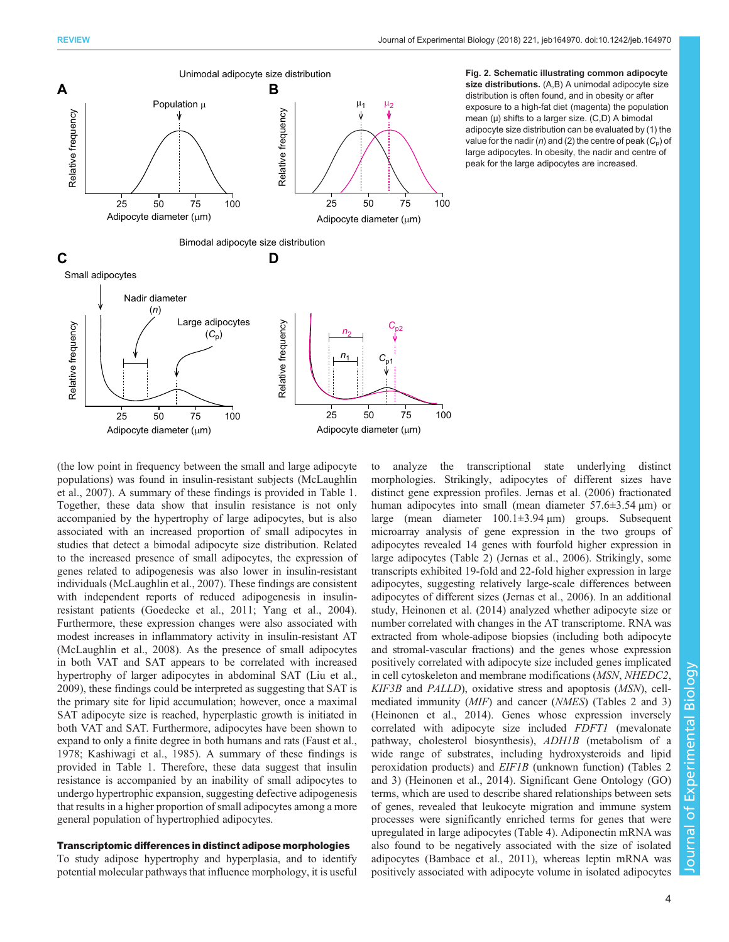<span id="page-3-0"></span>

Fig. 2. Schematic illustrating common adipocyte size distributions. (A,B) A unimodal adipocyte size distribution is often found, and in obesity or after exposure to a high-fat diet (magenta) the population mean  $(\mu)$  shifts to a larger size.  $(C,D)$  A bimodal adipocyte size distribution can be evaluated by (1) the value for the nadir (n) and (2) the centre of peak ( $C_p$ ) of large adipocytes. In obesity, the nadir and centre of peak for the large adipocytes are increased.



# Transcriptomic differences in distinct adipose morphologies

To study adipose hypertrophy and hyperplasia, and to identify potential molecular pathways that influence morphology, it is useful to analyze the transcriptional state underlying distinct morphologies. Strikingly, adipocytes of different sizes have distinct gene expression profiles. [Jernas et al. \(2006\)](#page-9-0) fractionated human adipocytes into small (mean diameter  $57.6 \pm 3.54 \text{ }\mu\text{m}$ ) or large (mean diameter 100.1±3.94 µm) groups. Subsequent microarray analysis of gene expression in the two groups of adipocytes revealed 14 genes with fourfold higher expression in large adipocytes [\(Table 2\)](#page-5-0) [\(Jernas et al., 2006\)](#page-9-0). Strikingly, some transcripts exhibited 19-fold and 22-fold higher expression in large adipocytes, suggesting relatively large-scale differences between adipocytes of different sizes [\(Jernas et al., 2006](#page-9-0)). In an additional study, [Heinonen et al. \(2014\)](#page-9-0) analyzed whether adipocyte size or number correlated with changes in the AT transcriptome. RNA was extracted from whole-adipose biopsies (including both adipocyte and stromal-vascular fractions) and the genes whose expression positively correlated with adipocyte size included genes implicated in cell cytoskeleton and membrane modifications (MSN, NHEDC2, KIF3B and PALLD), oxidative stress and apoptosis (MSN), cellmediated immunity (MIF) and cancer (NMES) [\(Tables 2](#page-5-0) and [3\)](#page-5-0) [\(Heinonen et al., 2014](#page-9-0)). Genes whose expression inversely correlated with adipocyte size included FDFT1 (mevalonate pathway, cholesterol biosynthesis), ADH1B (metabolism of a wide range of substrates, including hydroxysteroids and lipid peroxidation products) and EIF1B (unknown function) ([Tables 2](#page-5-0) and [3\)](#page-5-0) ([Heinonen et al., 2014\)](#page-9-0). Significant Gene Ontology (GO) terms, which are used to describe shared relationships between sets of genes, revealed that leukocyte migration and immune system processes were significantly enriched terms for genes that were upregulated in large adipocytes [\(Table 4](#page-6-0)). Adiponectin mRNA was also found to be negatively associated with the size of isolated adipocytes [\(Bambace et al., 2011](#page-8-0)), whereas leptin mRNA was positively associated with adipocyte volume in isolated adipocytes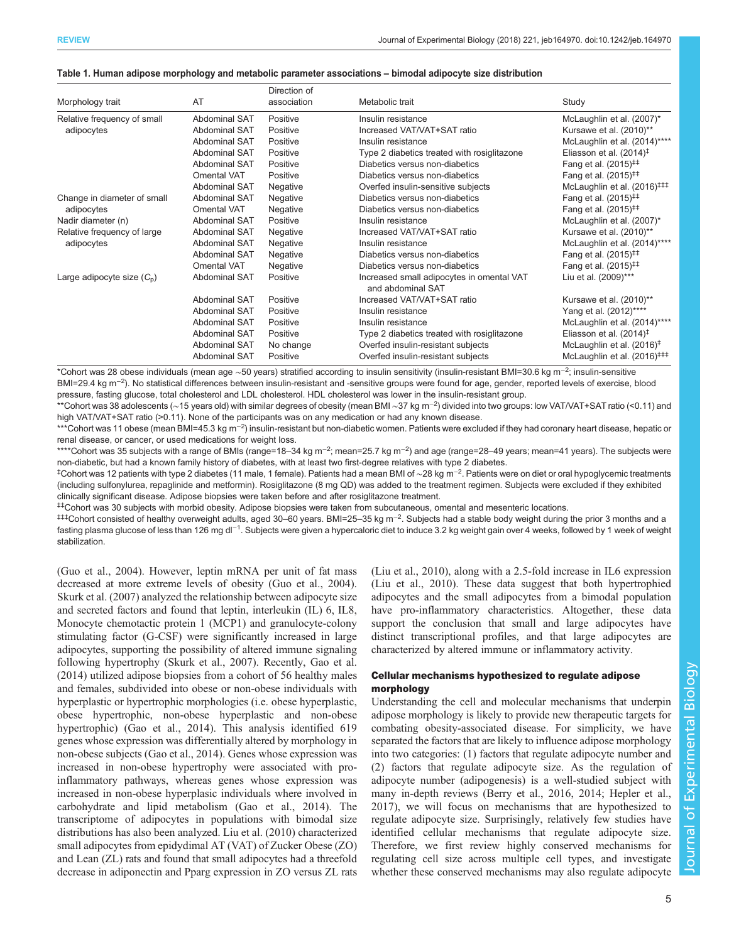### <span id="page-4-0"></span>Table 1. Human adipose morphology and metabolic parameter associations – bimodal adipocyte size distribution

|                                                                                                                                                                                                                                                                                                                                                                                                                                              |                                | Direction of              |                                                                |                                         |
|----------------------------------------------------------------------------------------------------------------------------------------------------------------------------------------------------------------------------------------------------------------------------------------------------------------------------------------------------------------------------------------------------------------------------------------------|--------------------------------|---------------------------|----------------------------------------------------------------|-----------------------------------------|
|                                                                                                                                                                                                                                                                                                                                                                                                                                              |                                |                           | Metabolic trait                                                | Study                                   |
| Relative frequency of small                                                                                                                                                                                                                                                                                                                                                                                                                  | Abdominal SAT                  | Positive                  | Insulin resistance                                             | McLaughlin et al. (2007)*               |
| adipocytes                                                                                                                                                                                                                                                                                                                                                                                                                                   | Abdominal SAT                  | Positive                  | Increased VAT/VAT+SAT ratio                                    | Kursawe et al. (2010)**                 |
|                                                                                                                                                                                                                                                                                                                                                                                                                                              | <b>Abdominal SAT</b>           | Positive                  | Insulin resistance                                             | McLaughlin et al. (2014)****            |
|                                                                                                                                                                                                                                                                                                                                                                                                                                              | <b>Abdominal SAT</b>           | Positive                  | Type 2 diabetics treated with rosiglitazone                    | Eliasson et al. $(2014)^{\ddagger}$     |
|                                                                                                                                                                                                                                                                                                                                                                                                                                              | Abdominal SAT                  | Positive                  | Diabetics versus non-diabetics                                 | Fang et al. $(2015)^{\ddagger\ddagger}$ |
|                                                                                                                                                                                                                                                                                                                                                                                                                                              | Omental VAT                    | Positive                  | Diabetics versus non-diabetics                                 | Fang et al. $(2015)^{\ddagger\ddagger}$ |
|                                                                                                                                                                                                                                                                                                                                                                                                                                              | Abdominal SAT                  | Negative                  | Overfed insulin-sensitive subjects                             | McLaughlin et al. $(2016)^{+11}$        |
| Change in diameter of small                                                                                                                                                                                                                                                                                                                                                                                                                  | <b>Abdominal SAT</b>           | Negative                  | Diabetics versus non-diabetics                                 | Fang et al. $(2015)^{\ddagger\ddagger}$ |
| adipocytes                                                                                                                                                                                                                                                                                                                                                                                                                                   | <b>Omental VAT</b>             | Negative                  | Diabetics versus non-diabetics                                 | Fang et al. $(2015)^{11}$               |
| Nadir diameter (n)                                                                                                                                                                                                                                                                                                                                                                                                                           | Abdominal SAT                  | Positive                  | Insulin resistance                                             | McLaughlin et al. (2007)*               |
| Relative frequency of large                                                                                                                                                                                                                                                                                                                                                                                                                  | Abdominal SAT                  | Negative                  | Increased VAT/VAT+SAT ratio                                    | Kursawe et al. (2010)**                 |
| association<br>Morphology trait<br>AT<br><b>Abdominal SAT</b><br>adipocytes<br>Negative<br><b>Abdominal SAT</b><br>Negative<br><b>Omental VAT</b><br>Negative<br>Large adipocyte size $(C_n)$<br>Abdominal SAT<br>Positive<br><b>Abdominal SAT</b><br>Positive<br><b>Abdominal SAT</b><br>Positive<br><b>Abdominal SAT</b><br>Positive<br><b>Abdominal SAT</b><br>Positive<br><b>Abdominal SAT</b><br>No change<br>Abdominal SAT<br>Positive |                                |                           | Insulin resistance                                             | McLaughlin et al. (2014)****            |
|                                                                                                                                                                                                                                                                                                                                                                                                                                              | Diabetics versus non-diabetics | Fang et al. $(2015)^{11}$ |                                                                |                                         |
|                                                                                                                                                                                                                                                                                                                                                                                                                                              |                                |                           | Diabetics versus non-diabetics                                 | Fang et al. $(2015)^{\ddagger\ddagger}$ |
|                                                                                                                                                                                                                                                                                                                                                                                                                                              |                                |                           | Increased small adipocytes in omental VAT<br>and abdominal SAT | Liu et al. (2009)***                    |
|                                                                                                                                                                                                                                                                                                                                                                                                                                              |                                |                           | Increased VAT/VAT+SAT ratio                                    | Kursawe et al. (2010)**                 |
|                                                                                                                                                                                                                                                                                                                                                                                                                                              |                                |                           | Insulin resistance                                             | Yang et al. (2012)****                  |
|                                                                                                                                                                                                                                                                                                                                                                                                                                              |                                |                           | Insulin resistance                                             | McLaughlin et al. (2014)****            |
|                                                                                                                                                                                                                                                                                                                                                                                                                                              |                                |                           | Type 2 diabetics treated with rosiglitazone                    | Eliasson et al. $(2014)^{\ddagger}$     |
|                                                                                                                                                                                                                                                                                                                                                                                                                                              |                                |                           | Overfed insulin-resistant subjects                             | McLaughlin et al. (2016) <sup>‡</sup>   |
|                                                                                                                                                                                                                                                                                                                                                                                                                                              |                                |                           | Overfed insulin-resistant subjects                             | McLaughlin et al. (2016) <sup>###</sup> |

\*Cohort was 28 obese individuals (mean age ∼50 years) stratified according to insulin sensitivity (insulin-resistant BMI=30.6 kg m−<sup>2</sup> ; insulin-sensitive BMI=29.4 kg m<sup>-2</sup>). No statistical differences between insulin-resistant and -sensitive groups were found for age, gender, reported levels of exercise, blood pressure, fasting glucose, total cholesterol and LDL cholesterol. HDL cholesterol was lower in the insulin-resistant group.

\*\*Cohort was 38 adolescents (∼15 years old) with similar degrees of obesity (mean BMI ∼37 kg m−<sup>2</sup> ) divided into two groups: low VAT/VAT+SAT ratio (<0.11) and high VAT/VAT+SAT ratio (>0.11). None of the participants was on any medication or had any known disease.

\*\*\*Cohort was 11 obese (mean BMI=45.3 kg m<sup>−2</sup>) insulin-resistant but non-diabetic women. Patients were excluded if they had coronary heart disease, hepatic or renal disease, or cancer, or used medications for weight loss.

\*\*\*\*Cohort was 35 subjects with a range of BMIs (range=18–34 kg m−<sup>2</sup> ; mean=25.7 kg m−<sup>2</sup> ) and age (range=28–49 years; mean=41 years). The subjects were non-diabetic, but had a known family history of diabetes, with at least two first-degree relatives with type 2 diabetes.

‡ Cohort was 12 patients with type 2 diabetes (11 male, 1 female). Patients had a mean BMI of ∼28 kg m<sup>−</sup>2. Patients were on diet or oral hypoglycemic treatments (including sulfonylurea, repaglinide and metformin). Rosiglitazone (8 mg QD) was added to the treatment regimen. Subjects were excluded if they exhibited clinically significant disease. Adipose biopsies were taken before and after rosiglitazone treatment.

‡‡Cohort was 30 subjects with morbid obesity. Adipose biopsies were taken from subcutaneous, omental and mesenteric locations.

‡‡‡Cohort consisted of healthy overweight adults, aged 30–60 years. BMI=25–35 kg m−<sup>2</sup> . Subjects had a stable body weight during the prior 3 months and a fasting plasma glucose of less than 126 mg dl<sup>−1</sup>. Subjects were given a hypercaloric diet to induce 3.2 kg weight gain over 4 weeks, followed by 1 week of weight stabilization.

[\(Guo et al., 2004](#page-9-0)). However, leptin mRNA per unit of fat mass decreased at more extreme levels of obesity ([Guo et al., 2004\)](#page-9-0). [Skurk et al. \(2007\)](#page-10-0) analyzed the relationship between adipocyte size and secreted factors and found that leptin, interleukin (IL) 6, IL8, Monocyte chemotactic protein 1 (MCP1) and granulocyte-colony stimulating factor (G-CSF) were significantly increased in large adipocytes, supporting the possibility of altered immune signaling following hypertrophy [\(Skurk et al., 2007](#page-10-0)). Recently, [Gao et al.](#page-8-0) [\(2014\)](#page-8-0) utilized adipose biopsies from a cohort of 56 healthy males and females, subdivided into obese or non-obese individuals with hyperplastic or hypertrophic morphologies (i.e. obese hyperplastic, obese hypertrophic, non-obese hyperplastic and non-obese hypertrophic) [\(Gao et al., 2014](#page-8-0)). This analysis identified 619 genes whose expression was differentially altered by morphology in non-obese subjects [\(Gao et al., 2014\)](#page-8-0). Genes whose expression was increased in non-obese hypertrophy were associated with proinflammatory pathways, whereas genes whose expression was increased in non-obese hyperplasic individuals where involved in carbohydrate and lipid metabolism ([Gao et al., 2014](#page-8-0)). The transcriptome of adipocytes in populations with bimodal size distributions has also been analyzed. [Liu et al. \(2010\)](#page-9-0) characterized small adipocytes from epidydimal AT (VAT) of Zucker Obese (ZO) and Lean (ZL) rats and found that small adipocytes had a threefold decrease in adiponectin and Pparg expression in ZO versus ZL rats

[\(Liu et al., 2010](#page-9-0)), along with a 2.5-fold increase in IL6 expression [\(Liu et al., 2010\)](#page-9-0). These data suggest that both hypertrophied adipocytes and the small adipocytes from a bimodal population have pro-inflammatory characteristics. Altogether, these data support the conclusion that small and large adipocytes have distinct transcriptional profiles, and that large adipocytes are characterized by altered immune or inflammatory activity.

# Cellular mechanisms hypothesized to regulate adipose morphology

Understanding the cell and molecular mechanisms that underpin adipose morphology is likely to provide new therapeutic targets for combating obesity-associated disease. For simplicity, we have separated the factors that are likely to influence adipose morphology into two categories: (1) factors that regulate adipocyte number and (2) factors that regulate adipocyte size. As the regulation of adipocyte number (adipogenesis) is a well-studied subject with many in-depth reviews ([Berry et al., 2016, 2014](#page-8-0); [Hepler et al.,](#page-9-0) [2017\)](#page-9-0), we will focus on mechanisms that are hypothesized to regulate adipocyte size. Surprisingly, relatively few studies have identified cellular mechanisms that regulate adipocyte size. Therefore, we first review highly conserved mechanisms for regulating cell size across multiple cell types, and investigate whether these conserved mechanisms may also regulate adipocyte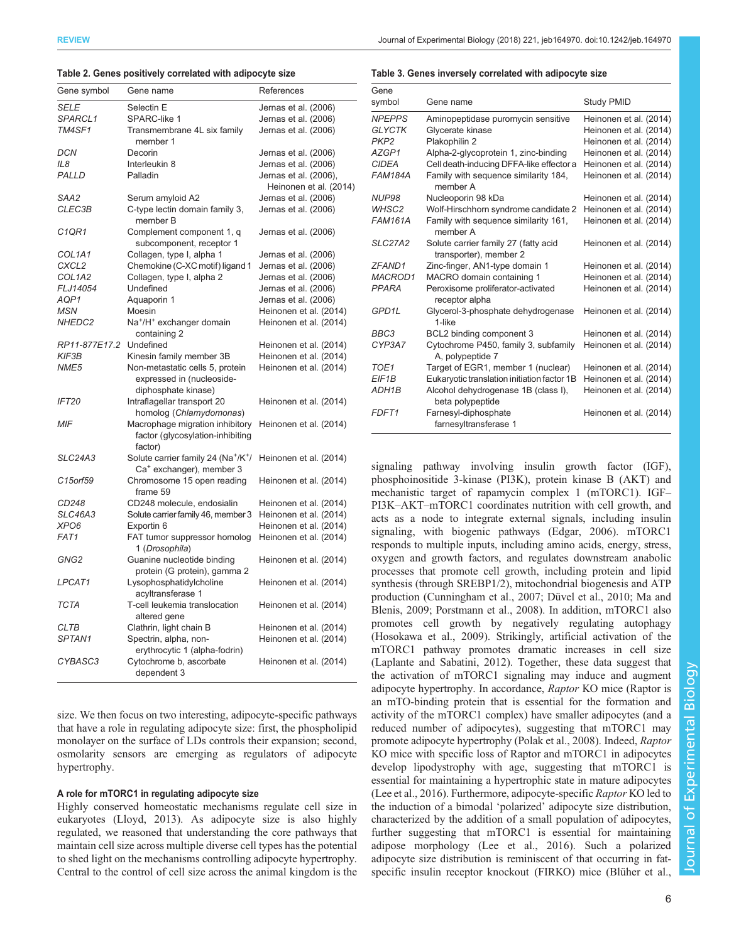# <span id="page-5-0"></span>REVIEW Journal of Experimental Biology (2018) 221, jeb164970. doi:10.1242/jeb.164970

### Table 2. Genes positively correlated with adipocyte size

| Gene symbol       | Gene name                                                                                           | References                                      |
|-------------------|-----------------------------------------------------------------------------------------------------|-------------------------------------------------|
| SELE              | Selectin E                                                                                          | Jernas et al. (2006)                            |
| SPARCL1           | SPARC-like 1                                                                                        | Jernas et al. (2006)                            |
| TM4SF1            | Transmembrane 4L six family<br>member 1                                                             | Jernas et al. (2006)                            |
| <b>DCN</b>        | Decorin                                                                                             | Jernas et al. (2006)                            |
| IL8               | Interleukin 8                                                                                       | Jernas et al. (2006)                            |
| PALLD             | Palladin                                                                                            | Jernas et al. (2006),<br>Heinonen et al. (2014) |
| SAA2              | Serum amyloid A2                                                                                    | Jernas et al. (2006)                            |
| CLEC3B            | C-type lectin domain family 3,<br>member B                                                          | Jernas et al. (2006)                            |
| C1QR1             | Complement component 1, q<br>subcomponent, receptor 1                                               | Jernas et al. (2006)                            |
| COL1A1            | Collagen, type I, alpha 1                                                                           | Jernas et al. (2006)                            |
| CXCL <sub>2</sub> | Chemokine (C-XC motif) ligand 1                                                                     | Jernas et al. (2006)                            |
| COL1A2            | Collagen, type I, alpha 2                                                                           | Jernas et al. (2006)                            |
| FLJ14054          | Undefined                                                                                           | Jernas et al. (2006)                            |
| AQP1              | Aquaporin 1                                                                                         | Jernas et al. (2006)                            |
| <b>MSN</b>        | Moesin                                                                                              | Heinonen et al. (2014)                          |
| NHEDC2            | Na <sup>+</sup> /H <sup>+</sup> exchanger domain<br>containing 2                                    | Heinonen et al. (2014)                          |
| RP11-877E17.2     | Undefined                                                                                           | Heinonen et al. (2014)                          |
| <b>KIF3B</b>      | Kinesin family member 3B                                                                            | Heinonen et al. (2014)                          |
| NME5              | Non-metastatic cells 5, protein<br>expressed in (nucleoside-<br>diphosphate kinase)                 | Heinonen et al. (2014)                          |
| <b>IFT20</b>      | Intraflagellar transport 20<br>homolog (Chlamydomonas)                                              | Heinonen et al. (2014)                          |
| <b>MIF</b>        | Macrophage migration inhibitory<br>factor (glycosylation-inhibiting<br>factor)                      | Heinonen et al. (2014)                          |
| SLC24A3           | Solute carrier family 24 (Na <sup>+</sup> /K <sup>+</sup> /<br>Ca <sup>+</sup> exchanger), member 3 | Heinonen et al. (2014)                          |
| C15orf59          | Chromosome 15 open reading<br>frame 59                                                              | Heinonen et al. (2014)                          |
| CD248             | CD248 molecule, endosialin                                                                          | Heinonen et al. (2014)                          |
| SLC46A3           | Solute carrier family 46, member 3                                                                  | Heinonen et al. (2014)                          |
| XPO <sub>6</sub>  | Exportin 6                                                                                          | Heinonen et al. (2014)                          |
| FAT1              | FAT tumor suppressor homolog<br>1 (Drosophila)                                                      | Heinonen et al. (2014)                          |
| GNG2              | Guanine nucleotide binding<br>protein (G protein), gamma 2                                          | Heinonen et al. (2014)                          |
| LPCAT1            | Lysophosphatidylcholine<br>acyltransferase 1                                                        | Heinonen et al. (2014)                          |
| <b>TCTA</b>       | T-cell leukemia translocation<br>altered gene                                                       | Heinonen et al. (2014)                          |
| <b>CLTB</b>       | Clathrin, light chain B                                                                             | Heinonen et al. (2014)                          |
| SPTAN1            | Spectrin, alpha, non-                                                                               | Heinonen et al. (2014)                          |
|                   | erythrocytic 1 (alpha-fodrin)                                                                       |                                                 |
| CYBASC3           | Cytochrome b, ascorbate<br>dependent 3                                                              | Heinonen et al. (2014)                          |
|                   |                                                                                                     |                                                 |

size. We then focus on two interesting, adipocyte-specific pathways that have a role in regulating adipocyte size: first, the phospholipid monolayer on the surface of LDs controls their expansion; second, osmolarity sensors are emerging as regulators of adipocyte hypertrophy.

### A role for mTORC1 in regulating adipocyte size

Highly conserved homeostatic mechanisms regulate cell size in eukaryotes [\(Lloyd, 2013\)](#page-9-0). As adipocyte size is also highly regulated, we reasoned that understanding the core pathways that maintain cell size across multiple diverse cell types has the potential to shed light on the mechanisms controlling adipocyte hypertrophy. Central to the control of cell size across the animal kingdom is the

### Table 3. Genes inversely correlated with adipocyte size

| Gene               |                                                                |                        |
|--------------------|----------------------------------------------------------------|------------------------|
| symbol             | Gene name                                                      | Study PMID             |
| <b>NPEPPS</b>      | Aminopeptidase puromycin sensitive                             | Heinonen et al. (2014) |
| <b>GLYCTK</b>      | Glycerate kinase                                               | Heinonen et al. (2014) |
| PKP <sub>2</sub>   | Plakophilin 2                                                  | Heinonen et al. (2014) |
| AZGP1              | Alpha-2-glycoprotein 1, zinc-binding                           | Heinonen et al. (2014) |
| <b>CIDEA</b>       | Cell death-inducing DFFA-like effector a                       | Heinonen et al. (2014) |
| <b>FAM184A</b>     | Family with sequence similarity 184,<br>member A               | Heinonen et al. (2014) |
| NUP <sub>98</sub>  | Nucleoporin 98 kDa                                             | Heinonen et al. (2014) |
| WHSC2              | Wolf-Hirschhorn syndrome candidate 2                           | Heinonen et al. (2014) |
| <b>FAM161A</b>     | Family with sequence similarity 161,<br>member A               | Heinonen et al. (2014) |
| <b>SLC27A2</b>     | Solute carrier family 27 (fatty acid<br>transporter), member 2 | Heinonen et al. (2014) |
| ZFAND1             | Zinc-finger, AN1-type domain 1                                 | Heinonen et al. (2014) |
| MACROD1            | MACRO domain containing 1                                      | Heinonen et al. (2014) |
| <b>PPARA</b>       | Peroxisome proliferator-activated<br>receptor alpha            | Heinonen et al. (2014) |
| GPD <sub>1</sub> L | Glycerol-3-phosphate dehydrogenase<br>1-like                   | Heinonen et al. (2014) |
| BBC3               | BCL2 binding component 3                                       | Heinonen et al. (2014) |
| CYP3A7             | Cytochrome P450, family 3, subfamily<br>A, polypeptide 7       | Heinonen et al. (2014) |
| TOE1               | Target of EGR1, member 1 (nuclear)                             | Heinonen et al. (2014) |
| EIF <sub>1</sub> B | Eukaryotic translation initiation factor 1B                    | Heinonen et al. (2014) |
| ADH1B              | Alcohol dehydrogenase 1B (class I),<br>beta polypeptide        | Heinonen et al. (2014) |
| FDFT <sub>1</sub>  | Farnesyl-diphosphate<br>farnesyltransferase 1                  | Heinonen et al. (2014) |

signaling pathway involving insulin growth factor (IGF), phosphoinositide 3-kinase (PI3K), protein kinase B (AKT) and mechanistic target of rapamycin complex 1 (mTORC1). IGF– PI3K–AKT–mTORC1 coordinates nutrition with cell growth, and acts as a node to integrate external signals, including insulin signaling, with biogenic pathways ([Edgar, 2006](#page-8-0)). mTORC1 responds to multiple inputs, including amino acids, energy, stress, oxygen and growth factors, and regulates downstream anabolic processes that promote cell growth, including protein and lipid synthesis (through SREBP1/2), mitochondrial biogenesis and ATP production ([Cunningham et al., 2007](#page-8-0); [Düvel et al., 2010](#page-8-0); [Ma and](#page-9-0) [Blenis, 2009;](#page-9-0) [Porstmann et al., 2008\)](#page-10-0). In addition, mTORC1 also promotes cell growth by negatively regulating autophagy [\(Hosokawa et al., 2009\)](#page-9-0). Strikingly, artificial activation of the mTORC1 pathway promotes dramatic increases in cell size [\(Laplante and Sabatini, 2012\)](#page-9-0). Together, these data suggest that the activation of mTORC1 signaling may induce and augment adipocyte hypertrophy. In accordance, Raptor KO mice (Raptor is an mTO-binding protein that is essential for the formation and activity of the mTORC1 complex) have smaller adipocytes (and a reduced number of adipocytes), suggesting that mTORC1 may promote adipocyte hypertrophy [\(Polak et al., 2008\)](#page-9-0). Indeed, Raptor KO mice with specific loss of Raptor and mTORC1 in adipocytes develop lipodystrophy with age, suggesting that mTORC1 is essential for maintaining a hypertrophic state in mature adipocytes [\(Lee et al., 2016\)](#page-9-0). Furthermore, adipocyte-specific Raptor KO led to the induction of a bimodal 'polarized' adipocyte size distribution, characterized by the addition of a small population of adipocytes, further suggesting that mTORC1 is essential for maintaining adipose morphology ([Lee et al., 2016](#page-9-0)). Such a polarized adipocyte size distribution is reminiscent of that occurring in fatspecific insulin receptor knockout (FIRKO) mice [\(Blüher et al.,](#page-8-0)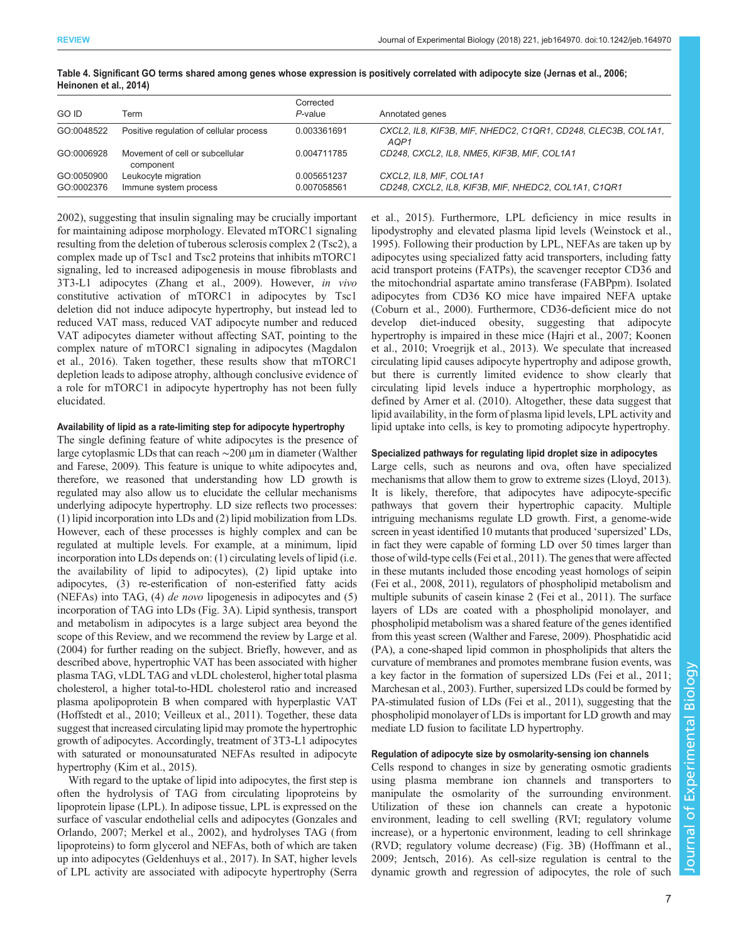| <b>GO ID</b> | Term                                         | Corrected<br>$P$ -value | Annotated genes                                                                   |
|--------------|----------------------------------------------|-------------------------|-----------------------------------------------------------------------------------|
| GO:0048522   | Positive regulation of cellular process      | 0.003361691             | CXCL2, IL8, KIF3B, MIF, NHEDC2, C1QR1, CD248, CLEC3B, COL1A1,<br>AOP <sub>1</sub> |
| GO:0006928   | Movement of cell or subcellular<br>component | 0.004711785             | CD248, CXCL2, IL8, NME5, KIF3B, MIF, COL1A1                                       |
| GO:0050900   | Leukocyte migration                          | 0.005651237             | CXCL2, IL8, MIF, COL1A1                                                           |
| GO:0002376   | Immune system process                        | 0.007058561             | CD248, CXCL2, IL8, KIF3B, MIF, NHEDC2, COL1A1, C1QR1                              |

### <span id="page-6-0"></span>Table 4. Significant GO terms shared among genes whose expression is positively correlated with adipocyte size [\(Jernas et al., 2006](#page-9-0); [Heinonen et al., 2014](#page-9-0))

[2002](#page-8-0)), suggesting that insulin signaling may be crucially important for maintaining adipose morphology. Elevated mTORC1 signaling resulting from the deletion of tuberous sclerosis complex 2 (Tsc2), a complex made up of Tsc1 and Tsc2 proteins that inhibits mTORC1 signaling, led to increased adipogenesis in mouse fibroblasts and 3T3-L1 adipocytes ([Zhang et al., 2009](#page-10-0)). However, in vivo constitutive activation of mTORC1 in adipocytes by Tsc1 deletion did not induce adipocyte hypertrophy, but instead led to reduced VAT mass, reduced VAT adipocyte number and reduced VAT adipocytes diameter without affecting SAT, pointing to the complex nature of mTORC1 signaling in adipocytes ([Magdalon](#page-9-0) [et al., 2016\)](#page-9-0). Taken together, these results show that mTORC1 depletion leads to adipose atrophy, although conclusive evidence of a role for mTORC1 in adipocyte hypertrophy has not been fully elucidated.

### Availability of lipid as a rate-limiting step for adipocyte hypertrophy

The single defining feature of white adipocytes is the presence of large cytoplasmic LDs that can reach ∼200 µm in diameter ([Walther](#page-10-0) [and Farese, 2009\)](#page-10-0). This feature is unique to white adipocytes and, therefore, we reasoned that understanding how LD growth is regulated may also allow us to elucidate the cellular mechanisms underlying adipocyte hypertrophy. LD size reflects two processes: (1) lipid incorporation into LDs and (2) lipid mobilization from LDs. However, each of these processes is highly complex and can be regulated at multiple levels. For example, at a minimum, lipid incorporation into LDs depends on: (1) circulating levels of lipid (i.e. the availability of lipid to adipocytes), (2) lipid uptake into adipocytes, (3) re-esterification of non-esterified fatty acids (NEFAs) into TAG, (4) de novo lipogenesis in adipocytes and (5) incorporation of TAG into LDs ([Fig. 3A](#page-7-0)). Lipid synthesis, transport and metabolism in adipocytes is a large subject area beyond the scope of this Review, and we recommend the review by [Large et al.](#page-9-0) [\(2004\)](#page-9-0) for further reading on the subject. Briefly, however, and as described above, hypertrophic VAT has been associated with higher plasma TAG, vLDL TAG and vLDL cholesterol, higher total plasma cholesterol, a higher total-to-HDL cholesterol ratio and increased plasma apolipoprotein B when compared with hyperplastic VAT [\(Hoffstedt et al., 2010;](#page-9-0) [Veilleux et al., 2011](#page-10-0)). Together, these data suggest that increased circulating lipid may promote the hypertrophic growth of adipocytes. Accordingly, treatment of 3T3-L1 adipocytes with saturated or monounsaturated NEFAs resulted in adipocyte hypertrophy [\(Kim et al., 2015](#page-9-0)).

With regard to the uptake of lipid into adipocytes, the first step is often the hydrolysis of TAG from circulating lipoproteins by lipoprotein lipase (LPL). In adipose tissue, LPL is expressed on the surface of vascular endothelial cells and adipocytes ([Gonzales and](#page-8-0) [Orlando, 2007;](#page-8-0) [Merkel et al., 2002](#page-9-0)), and hydrolyses TAG (from lipoproteins) to form glycerol and NEFAs, both of which are taken up into adipocytes ([Geldenhuys et al., 2017](#page-8-0)). In SAT, higher levels of LPL activity are associated with adipocyte hypertrophy [\(Serra](#page-10-0)

[et al., 2015\)](#page-10-0). Furthermore, LPL deficiency in mice results in lipodystrophy and elevated plasma lipid levels ([Weinstock et al.,](#page-10-0) [1995\)](#page-10-0). Following their production by LPL, NEFAs are taken up by adipocytes using specialized fatty acid transporters, including fatty acid transport proteins (FATPs), the scavenger receptor CD36 and the mitochondrial aspartate amino transferase (FABPpm). Isolated adipocytes from CD36 KO mice have impaired NEFA uptake [\(Coburn et al., 2000](#page-8-0)). Furthermore, CD36-deficient mice do not develop diet-induced obesity, suggesting that adipocyte hypertrophy is impaired in these mice [\(Hajri et al., 2007](#page-9-0); [Koonen](#page-9-0) [et al., 2010;](#page-9-0) [Vroegrijk et al., 2013](#page-10-0)). We speculate that increased circulating lipid causes adipocyte hypertrophy and adipose growth, but there is currently limited evidence to show clearly that circulating lipid levels induce a hypertrophic morphology, as defined by [Arner et al. \(2010\)](#page-8-0). Altogether, these data suggest that lipid availability, in the form of plasma lipid levels, LPL activity and lipid uptake into cells, is key to promoting adipocyte hypertrophy.

# Specialized pathways for regulating lipid droplet size in adipocytes

Large cells, such as neurons and ova, often have specialized mechanisms that allow them to grow to extreme sizes [\(Lloyd, 2013\)](#page-9-0). It is likely, therefore, that adipocytes have adipocyte-specific pathways that govern their hypertrophic capacity. Multiple intriguing mechanisms regulate LD growth. First, a genome-wide screen in yeast identified 10 mutants that produced 'supersized' LDs, in fact they were capable of forming LD over 50 times larger than those of wild-type cells [\(Fei et al., 2011](#page-8-0)). The genes that were affected in these mutants included those encoding yeast homologs of seipin [\(Fei et al., 2008, 2011](#page-8-0)), regulators of phospholipid metabolism and multiple subunits of casein kinase 2 [\(Fei et al., 2011\)](#page-8-0). The surface layers of LDs are coated with a phospholipid monolayer, and phospholipid metabolism was a shared feature of the genes identified from this yeast screen [\(Walther and Farese, 2009](#page-10-0)). Phosphatidic acid (PA), a cone-shaped lipid common in phospholipids that alters the curvature of membranes and promotes membrane fusion events, was a key factor in the formation of supersized LDs ([Fei et al., 2011](#page-8-0); [Marchesan et al., 2003\)](#page-9-0). Further, supersized LDs could be formed by PA-stimulated fusion of LDs [\(Fei et al., 2011\)](#page-8-0), suggesting that the phospholipid monolayer of LDs is important for LD growth and may mediate LD fusion to facilitate LD hypertrophy.

# Regulation of adipocyte size by osmolarity-sensing ion channels

Cells respond to changes in size by generating osmotic gradients using plasma membrane ion channels and transporters to manipulate the osmolarity of the surrounding environment. Utilization of these ion channels can create a hypotonic environment, leading to cell swelling (RVI; regulatory volume increase), or a hypertonic environment, leading to cell shrinkage (RVD; regulatory volume decrease) [\(Fig. 3](#page-7-0)B) ([Hoffmann et al.,](#page-9-0) [2009; Jentsch, 2016\)](#page-9-0). As cell-size regulation is central to the dynamic growth and regression of adipocytes, the role of such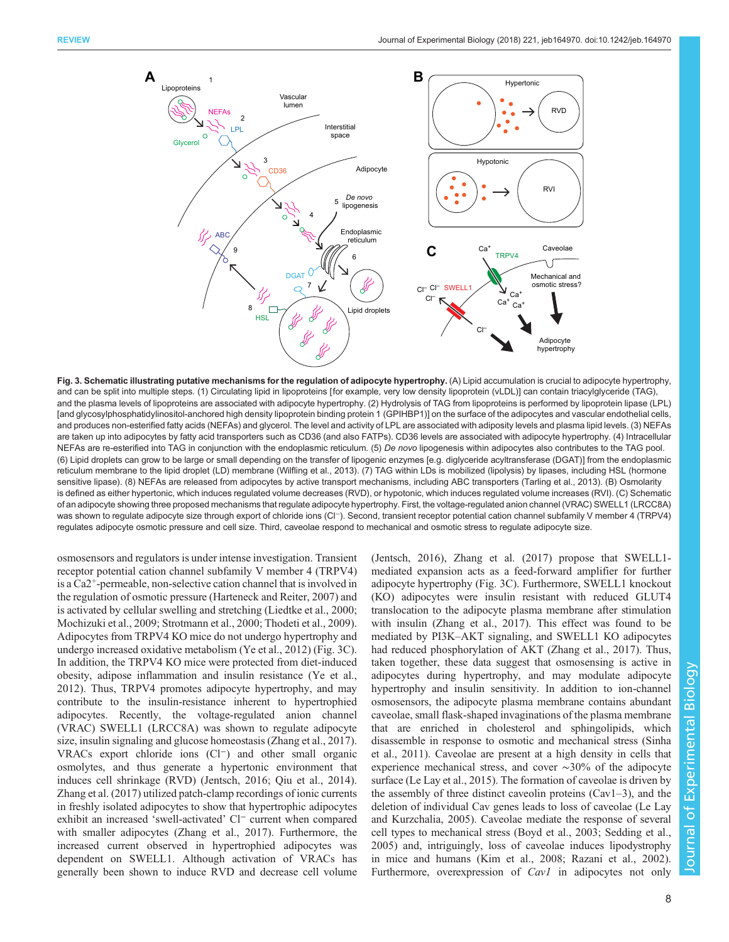<span id="page-7-0"></span>

Fig. 3. Schematic illustrating putative mechanisms for the regulation of adipocyte hypertrophy. (A) Lipid accumulation is crucial to adipocyte hypertrophy, and can be split into multiple steps. (1) Circulating lipid in lipoproteins [for example, very low density lipoprotein (vLDL)] can contain triacylglyceride (TAG), and the plasma levels of lipoproteins are associated with adipocyte hypertrophy. (2) Hydrolysis of TAG from lipoproteins is performed by lipoprotein lipase (LPL) [and glycosylphosphatidylinositol-anchored high density lipoprotein binding protein 1 (GPIHBP1)] on the surface of the adipocytes and vascular endothelial cells, and produces non-esterified fatty acids (NEFAs) and glycerol. The level and activity of LPL are associated with adiposity levels and plasma lipid levels. (3) NEFAs are taken up into adipocytes by fatty acid transporters such as CD36 (and also FATPs). CD36 levels are associated with adipocyte hypertrophy. (4) Intracellular NEFAs are re-esterified into TAG in conjunction with the endoplasmic reticulum. (5) De novo lipogenesis within adipocytes also contributes to the TAG pool. (6) Lipid droplets can grow to be large or small depending on the transfer of lipogenic enzymes [e.g. diglyceride acyltransferase (DGAT)] from the endoplasmic reticulum membrane to the lipid droplet (LD) membrane ([Wilfling et al., 2013\)](#page-10-0). (7) TAG within LDs is mobilized (lipolysis) by lipases, including HSL (hormone sensitive lipase). (8) NEFAs are released from adipocytes by active transport mechanisms, including ABC transporters ([Tarling et al., 2013](#page-10-0)). (B) Osmolarity is defined as either hypertonic, which induces regulated volume decreases (RVD), or hypotonic, which induces regulated volume increases (RVI). (C) Schematic of an adipocyte showing three proposed mechanisms that regulate adipocyte hypertrophy. First, the voltage-regulated anion channel (VRAC) SWELL1 (LRCC8A) was shown to regulate adipocyte size through export of chloride ions (Cl<sup>−</sup>). Second, transient receptor potential cation channel subfamily V member 4 (TRPV4) regulates adipocyte osmotic pressure and cell size. Third, caveolae respond to mechanical and osmotic stress to regulate adipocyte size.

osmosensors and regulators is under intense investigation. Transient receptor potential cation channel subfamily V member 4 (TRPV4) is a Ca2+-permeable, non-selective cation channel that is involved in the regulation of osmotic pressure ([Harteneck and Reiter, 2007](#page-9-0)) and is activated by cellular swelling and stretching [\(Liedtke et al., 2000](#page-9-0); [Mochizuki et al., 2009;](#page-9-0) [Strotmann et al., 2000; Thodeti et al., 2009\)](#page-10-0). Adipocytes from TRPV4 KO mice do not undergo hypertrophy and undergo increased oxidative metabolism [\(Ye et al., 2012](#page-10-0)) (Fig. 3C). In addition, the TRPV4 KO mice were protected from diet-induced obesity, adipose inflammation and insulin resistance [\(Ye et al.,](#page-10-0) [2012](#page-10-0)). Thus, TRPV4 promotes adipocyte hypertrophy, and may contribute to the insulin-resistance inherent to hypertrophied adipocytes. Recently, the voltage-regulated anion channel (VRAC) SWELL1 (LRCC8A) was shown to regulate adipocyte size, insulin signaling and glucose homeostasis ([Zhang et al., 2017\)](#page-10-0). VRACs export chloride ions (Cl−) and other small organic osmolytes, and thus generate a hypertonic environment that induces cell shrinkage (RVD) ([Jentsch, 2016;](#page-9-0) [Qiu et al., 2014\)](#page-10-0). [Zhang et al. \(2017\)](#page-10-0) utilized patch-clamp recordings of ionic currents in freshly isolated adipocytes to show that hypertrophic adipocytes exhibit an increased 'swell-activated' Cl<sup>−</sup> current when compared with smaller adipocytes [\(Zhang et al., 2017\)](#page-10-0). Furthermore, the increased current observed in hypertrophied adipocytes was dependent on SWELL1. Although activation of VRACs has generally been shown to induce RVD and decrease cell volume [\(Jentsch, 2016\)](#page-9-0), [Zhang et al. \(2017\)](#page-10-0) propose that SWELL1 mediated expansion acts as a feed-forward amplifier for further adipocyte hypertrophy (Fig. 3C). Furthermore, SWELL1 knockout (KO) adipocytes were insulin resistant with reduced GLUT4 translocation to the adipocyte plasma membrane after stimulation with insulin [\(Zhang et al., 2017](#page-10-0)). This effect was found to be mediated by PI3K–AKT signaling, and SWELL1 KO adipocytes had reduced phosphorylation of AKT ([Zhang et al., 2017](#page-10-0)). Thus, taken together, these data suggest that osmosensing is active in adipocytes during hypertrophy, and may modulate adipocyte hypertrophy and insulin sensitivity. In addition to ion-channel osmosensors, the adipocyte plasma membrane contains abundant caveolae, small flask-shaped invaginations of the plasma membrane that are enriched in cholesterol and sphingolipids, which disassemble in response to osmotic and mechanical stress [\(Sinha](#page-10-0) [et al., 2011](#page-10-0)). Caveolae are present at a high density in cells that experience mechanical stress, and cover ∼30% of the adipocyte surface ([Le Lay et al., 2015](#page-9-0)). The formation of caveolae is driven by the assembly of three distinct caveolin proteins (Cav1–3), and the deletion of individual Cav genes leads to loss of caveolae ([Le Lay](#page-9-0) [and Kurzchalia, 2005](#page-9-0)). Caveolae mediate the response of several cell types to mechanical stress ([Boyd et al., 2003](#page-8-0); [Sedding et al.,](#page-10-0) [2005\)](#page-10-0) and, intriguingly, loss of caveolae induces lipodystrophy in mice and humans ([Kim et al., 2008;](#page-9-0) [Razani et al., 2002\)](#page-10-0). Furthermore, overexpression of *Cav1* in adipocytes not only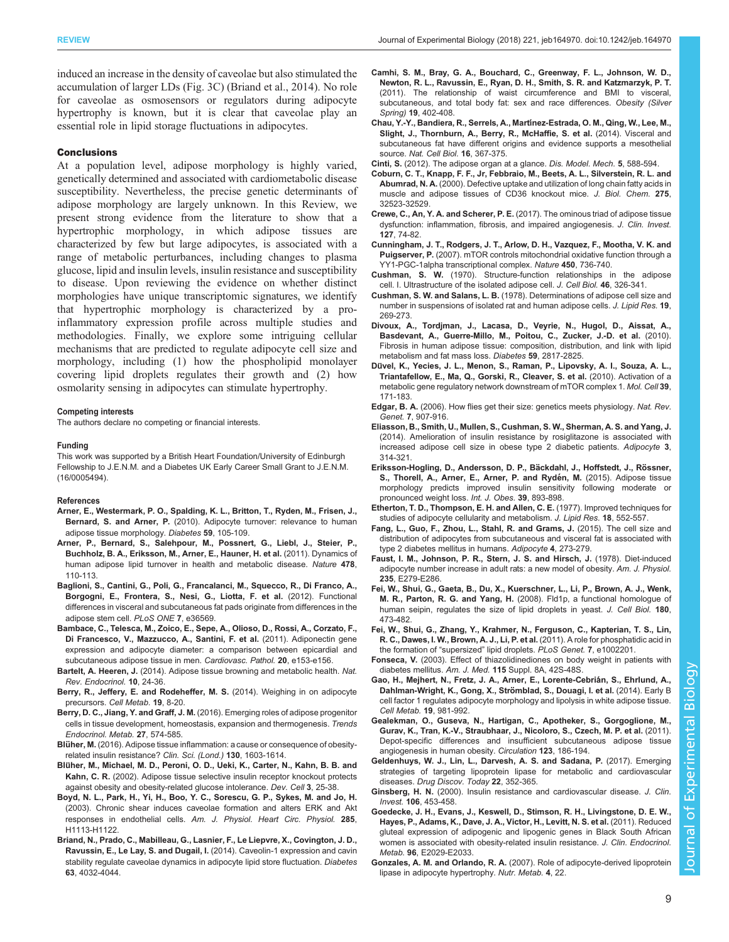<span id="page-8-0"></span>induced an increase in the density of caveolae but also stimulated the accumulation of larger LDs ([Fig. 3C](#page-7-0)) (Briand et al., 2014). No role for caveolae as osmosensors or regulators during adipocyte hypertrophy is known, but it is clear that caveolae play an essential role in lipid storage fluctuations in adipocytes.

### Conclusions

At a population level, adipose morphology is highly varied, genetically determined and associated with cardiometabolic disease susceptibility. Nevertheless, the precise genetic determinants of adipose morphology are largely unknown. In this Review, we present strong evidence from the literature to show that a hypertrophic morphology, in which adipose tissues are characterized by few but large adipocytes, is associated with a range of metabolic perturbances, including changes to plasma glucose, lipid and insulin levels, insulin resistance and susceptibility to disease. Upon reviewing the evidence on whether distinct morphologies have unique transcriptomic signatures, we identify that hypertrophic morphology is characterized by a proinflammatory expression profile across multiple studies and methodologies. Finally, we explore some intriguing cellular mechanisms that are predicted to regulate adipocyte cell size and morphology, including (1) how the phospholipid monolayer covering lipid droplets regulates their growth and (2) how osmolarity sensing in adipocytes can stimulate hypertrophy.

### Competing interests

The authors declare no competing or financial interests.

### Funding

This work was supported by a British Heart Foundation/University of Edinburgh Fellowship to J.E.N.M. and a Diabetes UK Early Career Small Grant to J.E.N.M. (16/0005494).

### References

- [Arner, E., Westermark, P. O., Spalding, K. L., Britton, T., Ryden, M., Frisen, J.,](http://dx.doi.org/10.2337/db09-0942) Bernard, S. and Arner, P. [\(2010\). Adipocyte turnover: relevance to human](http://dx.doi.org/10.2337/db09-0942) [adipose tissue morphology.](http://dx.doi.org/10.2337/db09-0942) Diabetes 59, 105-109.
- [Arner, P., Bernard, S., Salehpour, M., Possnert, G., Liebl, J., Steier, P.,](http://dx.doi.org/10.1038/nature10426) [Buchholz, B. A., Eriksson, M., Arner, E., Hauner, H. et al.](http://dx.doi.org/10.1038/nature10426) (2011). Dynamics of [human adipose lipid turnover in health and metabolic disease.](http://dx.doi.org/10.1038/nature10426) Nature 478, [110-113.](http://dx.doi.org/10.1038/nature10426)
- [Baglioni, S., Cantini, G., Poli, G., Francalanci, M., Squecco, R., Di Franco, A.,](http://dx.doi.org/10.1371/journal.pone.0036569) [Borgogni, E., Frontera, S., Nesi, G., Liotta, F. et al.](http://dx.doi.org/10.1371/journal.pone.0036569) (2012). Functional [differences in visceral and subcutaneous fat pads originate from differences in the](http://dx.doi.org/10.1371/journal.pone.0036569) [adipose stem cell.](http://dx.doi.org/10.1371/journal.pone.0036569) PLoS ONE 7, e36569.
- [Bambace, C., Telesca, M., Zoico, E., Sepe, A., Olioso, D., Rossi, A., Corzato, F.,](http://dx.doi.org/10.1016/j.carpath.2010.07.005) [Di Francesco, V., Mazzucco, A., Santini, F. et al.](http://dx.doi.org/10.1016/j.carpath.2010.07.005) (2011). Adiponectin gene [expression and adipocyte diameter: a comparison between epicardial and](http://dx.doi.org/10.1016/j.carpath.2010.07.005) [subcutaneous adipose tissue in men.](http://dx.doi.org/10.1016/j.carpath.2010.07.005) Cardiovasc. Pathol. 20, e153-e156.
- Bartelt, A. Heeren, J. [\(2014\). Adipose tissue browning and metabolic health.](http://dx.doi.org/10.1038/nrendo.2013.204) Nat. [Rev. Endocrinol.](http://dx.doi.org/10.1038/nrendo.2013.204) 10, 24-36.
- [Berry, R., Jeffery, E. and Rodeheffer, M. S.](http://dx.doi.org/10.1016/j.cmet.2013.10.003) (2014). Weighing in on adipocyte precursors. [Cell Metab.](http://dx.doi.org/10.1016/j.cmet.2013.10.003) 19, 8-20.
- Berry, D. C., Jiang, Y. and Graff, J. M. [\(2016\). Emerging roles of adipose progenitor](http://dx.doi.org/10.1016/j.tem.2016.05.001) [cells in tissue development, homeostasis, expansion and thermogenesis.](http://dx.doi.org/10.1016/j.tem.2016.05.001) Trends [Endocrinol. Metab.](http://dx.doi.org/10.1016/j.tem.2016.05.001) 27, 574-585.
- Blüher, M. (2016). Adipose tissue inflammation: a cause or consequence of obesityrelated insulin resistance? Clin. Sci. (Lond.) 130, 1603-1614.
- Blü[her, M., Michael, M. D., Peroni, O. D., Ueki, K., Carter, N., Kahn, B. B. and](http://dx.doi.org/10.1016/S1534-5807(02)00199-5) Kahn, C. R. [\(2002\). Adipose tissue selective insulin receptor knockout protects](http://dx.doi.org/10.1016/S1534-5807(02)00199-5) [against obesity and obesity-related glucose intolerance.](http://dx.doi.org/10.1016/S1534-5807(02)00199-5) Dev. Cell 3, 25-38.
- [Boyd, N. L., Park, H., Yi, H., Boo, Y. C., Sorescu, G. P., Sykes, M. and Jo, H.](http://dx.doi.org/10.1152/ajpheart.00302.2003) [\(2003\). Chronic shear induces caveolae formation and alters ERK and Akt](http://dx.doi.org/10.1152/ajpheart.00302.2003) responses in endothelial cells. [Am. J. Physiol. Heart Circ. Physiol.](http://dx.doi.org/10.1152/ajpheart.00302.2003) 285, [H1113-H1122.](http://dx.doi.org/10.1152/ajpheart.00302.2003)
- [Briand, N., Prado, C., Mabilleau, G., Lasnier, F., Le Liepvre, X., Covington, J. D.,](http://dx.doi.org/10.2337/db13-1961) Ravussin, E., Le Lay, S. and Dugail, I. [\(2014\). Caveolin-1 expression and cavin](http://dx.doi.org/10.2337/db13-1961) [stability regulate caveolae dynamics in adipocyte lipid store fluctuation.](http://dx.doi.org/10.2337/db13-1961) Diabetes 63[, 4032-4044.](http://dx.doi.org/10.2337/db13-1961)
- [Camhi, S. M., Bray, G. A., Bouchard, C., Greenway, F. L., Johnson, W. D.,](http://dx.doi.org/10.1038/oby.2010.248) [Newton, R. L., Ravussin, E., Ryan, D. H., Smith, S. R. and Katzmarzyk, P. T.](http://dx.doi.org/10.1038/oby.2010.248) [\(2011\). The relationship of waist circumference and BMI to visceral,](http://dx.doi.org/10.1038/oby.2010.248) [subcutaneous, and total body fat: sex and race differences.](http://dx.doi.org/10.1038/oby.2010.248) Obesity (Silver Spring) 19[, 402-408.](http://dx.doi.org/10.1038/oby.2010.248)
- [Chau, Y.-Y., Bandiera, R., Serrels, A., Mart](http://dx.doi.org/10.1038/ncb2922)ínez-Estrada, O. M., Qing, W., Lee, M., [Slight, J., Thornburn, A., Berry, R., McHaffie, S. et al.](http://dx.doi.org/10.1038/ncb2922) (2014). Visceral and [subcutaneous fat have different origins and evidence supports a mesothelial](http://dx.doi.org/10.1038/ncb2922) source. [Nat. Cell Biol.](http://dx.doi.org/10.1038/ncb2922) 16, 367-375.

Cinti, S. [\(2012\). The adipose organ at a glance.](http://dx.doi.org/10.1242/dmm.009662) Dis. Model. Mech. 5, 588-594.

- [Coburn, C. T., Knapp, F. F., Jr, Febbraio, M., Beets, A. L., Silverstein, R. L. and](http://dx.doi.org/10.1074/jbc.M003826200) Abumrad, N. A. [\(2000\). Defective uptake and utilization of long chain fatty acids in](http://dx.doi.org/10.1074/jbc.M003826200) [muscle and adipose tissues of CD36 knockout mice.](http://dx.doi.org/10.1074/jbc.M003826200) J. Biol. Chem. 275, [32523-32529.](http://dx.doi.org/10.1074/jbc.M003826200)
- Crewe, C., An, Y. A. and Scherer, P. E. [\(2017\). The ominous triad of adipose tissue](http://dx.doi.org/10.1172/JCI88883) [dysfunction: inflammation, fibrosis, and impaired angiogenesis.](http://dx.doi.org/10.1172/JCI88883) J. Clin. Invest. 127[, 74-82.](http://dx.doi.org/10.1172/JCI88883)
- [Cunningham, J. T., Rodgers, J. T., Arlow, D. H., Vazquez, F., Mootha, V. K. and](http://dx.doi.org/10.1038/nature06322) Puigserver, P. [\(2007\). mTOR controls mitochondrial oxidative function through a](http://dx.doi.org/10.1038/nature06322) [YY1-PGC-1alpha transcriptional complex.](http://dx.doi.org/10.1038/nature06322) Nature 450. 736-740.
- Cushman, S. W. (1970). Structure-function relationships in the adipose cell. I. Ultrastructure of the isolated adipose cell. J. Cell Biol. 46, 326-341.
- Cushman, S. W. and Salans, L. B. (1978). Determinations of adipose cell size and number in suspensions of isolated rat and human adipose cells. J. Lipid Res. 19. 269-273.
- [Divoux, A., Tordjman, J., Lacasa, D., Veyrie, N., Hugol, D., Aissat, A.,](http://dx.doi.org/10.2337/db10-0585) [Basdevant, A., Guerre-Millo, M., Poitou, C., Zucker, J.-D. et al.](http://dx.doi.org/10.2337/db10-0585) (2010). [Fibrosis in human adipose tissue: composition, distribution, and link with lipid](http://dx.doi.org/10.2337/db10-0585) [metabolism and fat mass loss.](http://dx.doi.org/10.2337/db10-0585) Diabetes 59, 2817-2825.
- Dü[vel, K., Yecies, J. L., Menon, S., Raman, P., Lipovsky, A. I., Souza, A. L.,](http://dx.doi.org/10.1016/j.molcel.2010.06.022) [Triantafellow, E., Ma, Q., Gorski, R., Cleaver, S. et al.](http://dx.doi.org/10.1016/j.molcel.2010.06.022) (2010). Activation of a [metabolic gene regulatory network downstream of mTOR complex 1.](http://dx.doi.org/10.1016/j.molcel.2010.06.022) Mol. Cell 39, [171-183.](http://dx.doi.org/10.1016/j.molcel.2010.06.022)
- Edgar, B. A. [\(2006\). How flies get their size: genetics meets physiology.](http://dx.doi.org/10.1038/nrg1989) Nat. Rev. Genet. 7[, 907-916.](http://dx.doi.org/10.1038/nrg1989)
- [Eliasson, B., Smith, U., Mullen, S., Cushman, S. W., Sherman, A. S. and Yang, J.](http://dx.doi.org/10.4161/adip.34425) [\(2014\). Amelioration of insulin resistance by rosiglitazone is associated with](http://dx.doi.org/10.4161/adip.34425) [increased adipose cell size in obese type 2 diabetic patients.](http://dx.doi.org/10.4161/adip.34425) Adipocyte 3, [314-321.](http://dx.doi.org/10.4161/adip.34425)
- Eriksson-Hogling, D., Andersson, D. P., Bäckdahl, J., Hoffstedt, J., Rössner, [S., Thorell, A., Arner, E., Arner, P. and Ryde](http://dx.doi.org/10.1038/ijo.2015.18)́n, M. (2015). Adipose tissue [morphology predicts improved insulin sensitivity following moderate or](http://dx.doi.org/10.1038/ijo.2015.18) [pronounced weight loss.](http://dx.doi.org/10.1038/ijo.2015.18) Int. J. Obes. 39, 893-898.
- Etherton, T. D., Thompson, E. H. and Allen, C. E. (1977). Improved techniques for studies of adipocyte cellularity and metabolism. J. Lipid Res. 18, 552-557.
- [Fang, L., Guo, F., Zhou, L., Stahl, R. and Grams, J.](http://dx.doi.org/10.1080/21623945.2015.1034920) (2015). The cell size and [distribution of adipocytes from subcutaneous and visceral fat is associated with](http://dx.doi.org/10.1080/21623945.2015.1034920) [type 2 diabetes mellitus in humans.](http://dx.doi.org/10.1080/21623945.2015.1034920) Adipocyte 4, 273-279.
- Faust, I. M., Johnson, P. R., Stern, J. S. and Hirsch, J. (1978). Diet-induced adipocyte number increase in adult rats: a new model of obesity. Am. J. Physiol. 235, E279-E286.
- [Fei, W., Shui, G., Gaeta, B., Du, X., Kuerschner, L., Li, P., Brown, A. J., Wenk,](http://dx.doi.org/10.1083/jcb.200711136) M. R., Parton, R. G. and Yang, H. [\(2008\). Fld1p, a functional homologue of](http://dx.doi.org/10.1083/jcb.200711136) [human seipin, regulates the size of lipid droplets in yeast.](http://dx.doi.org/10.1083/jcb.200711136) J. Cell Biol. 180, [473-482.](http://dx.doi.org/10.1083/jcb.200711136)
- [Fei, W., Shui, G., Zhang, Y., Krahmer, N., Ferguson, C., Kapterian, T. S., Lin,](http://dx.doi.org/10.1371/journal.pgen.1002201) [R. C., Dawes, I. W., Brown, A. J., Li, P. et al.](http://dx.doi.org/10.1371/journal.pgen.1002201) (2011). A role for phosphatidic acid in [the formation of](http://dx.doi.org/10.1371/journal.pgen.1002201) "supersized" lipid droplets. PLoS Genet. 7, e1002201.
- Fonseca, V. (2003). Effect of thiazolidinediones on body weight in patients with diabetes mellitus. Am. J. Med. 115 Suppl. 8A, 42S-48S.
- Gao, H., Mejhert, N., Fretz, J. A., Arner, E., Lorente-Cebrián, S., Ehrlund, A. Dahlman-Wright, K., Gong, X., Strömblad, S., Douagi, I. et al. (2014). Early B [cell factor 1 regulates adipocyte morphology and lipolysis in white adipose tissue.](http://dx.doi.org/10.1016/j.cmet.2014.03.032) [Cell Metab.](http://dx.doi.org/10.1016/j.cmet.2014.03.032) 19, 981-992.
- [Gealekman, O., Guseva, N., Hartigan, C., Apotheker, S., Gorgoglione, M.,](http://dx.doi.org/10.1161/CIRCULATIONAHA.110.970145) [Gurav, K., Tran, K.-V., Straubhaar, J., Nicoloro, S., Czech, M. P. et al.](http://dx.doi.org/10.1161/CIRCULATIONAHA.110.970145) (2011). [Depot-specific differences and insufficient subcutaneous adipose tissue](http://dx.doi.org/10.1161/CIRCULATIONAHA.110.970145) [angiogenesis in human obesity.](http://dx.doi.org/10.1161/CIRCULATIONAHA.110.970145) Circulation 123, 186-194.
- [Geldenhuys, W. J., Lin, L., Darvesh, A. S. and Sadana, P.](http://dx.doi.org/10.1016/j.drudis.2016.10.007) (2017). Emerging [strategies of targeting lipoprotein lipase for metabolic and cardiovascular](http://dx.doi.org/10.1016/j.drudis.2016.10.007) diseases. [Drug Discov. Today](http://dx.doi.org/10.1016/j.drudis.2016.10.007) 22, 352-365.
- Ginsberg, H. N. [\(2000\). Insulin resistance and cardiovascular disease.](http://dx.doi.org/10.1172/JCI10762) J. Clin. Invest. 106[, 453-458.](http://dx.doi.org/10.1172/JCI10762)
- [Goedecke, J. H., Evans, J., Keswell, D., Stimson, R. H., Livingstone, D. E. W.,](http://dx.doi.org/10.1210/jc.2011-1576) [Hayes, P., Adams, K., Dave, J. A., Victor, H., Levitt, N. S. et al.](http://dx.doi.org/10.1210/jc.2011-1576) (2011). Reduced [gluteal expression of adipogenic and lipogenic genes in Black South African](http://dx.doi.org/10.1210/jc.2011-1576) [women is associated with obesity-related insulin resistance.](http://dx.doi.org/10.1210/jc.2011-1576) J. Clin. Endocrinol. Metab. 96[, E2029-E2033.](http://dx.doi.org/10.1210/jc.2011-1576)
- Gonzales, A. M. and Orlando, R. A. [\(2007\). Role of adipocyte-derived lipoprotein](http://dx.doi.org/10.1186/1743-7075-4-22) [lipase in adipocyte hypertrophy.](http://dx.doi.org/10.1186/1743-7075-4-22) Nutr. Metab. 4, 22.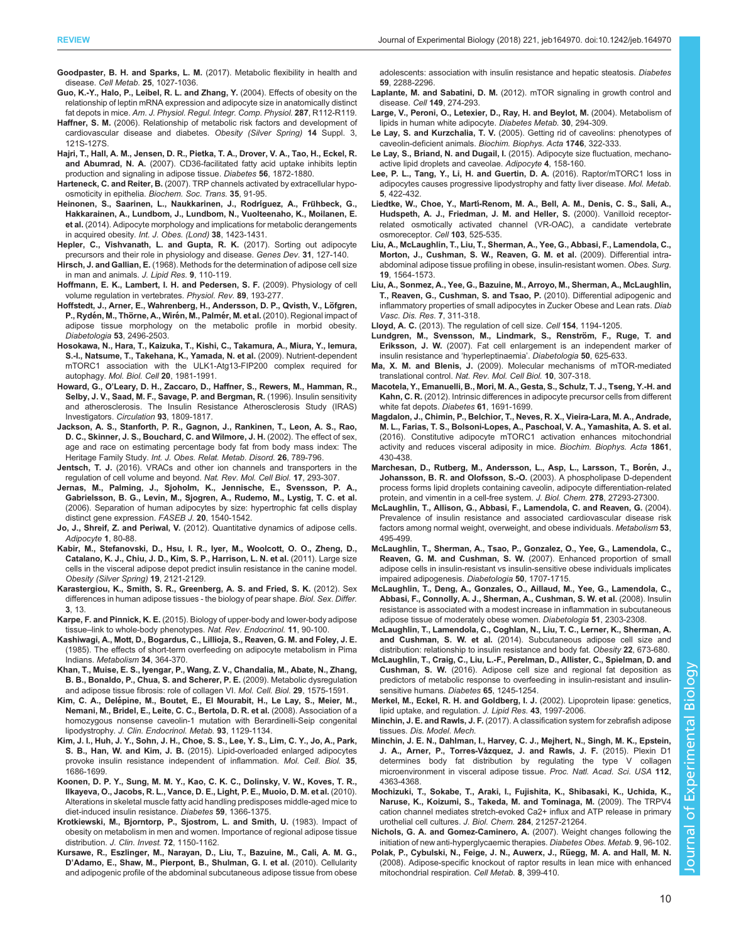<span id="page-9-0"></span>Goodpaster, B. H. and Sparks, L. M. [\(2017\). Metabolic flexibility in health and](http://dx.doi.org/10.1016/j.cmet.2017.04.015) disease. Cell Metab. 25[, 1027-1036.](http://dx.doi.org/10.1016/j.cmet.2017.04.015)

- [Guo, K.-Y., Halo, P., Leibel, R. L. and Zhang, Y.](http://dx.doi.org/10.1152/ajpregu.00028.2004) (2004). Effects of obesity on the [relationship of leptin mRNA expression and adipocyte size in anatomically distinct](http://dx.doi.org/10.1152/ajpregu.00028.2004) fat depots in mice. [Am. J. Physiol. Regul. Integr. Comp. Physiol.](http://dx.doi.org/10.1152/ajpregu.00028.2004) 287, R112-R119.
- Haffner, S. M. [\(2006\). Relationship of metabolic risk factors and development of](http://dx.doi.org/10.1038/oby.2006.291) [cardiovascular disease and diabetes.](http://dx.doi.org/10.1038/oby.2006.291) Obesity (Silver Spring) 14 Suppl. 3, [121S-127S.](http://dx.doi.org/10.1038/oby.2006.291)
- [Hajri, T., Hall, A. M., Jensen, D. R., Pietka, T. A., Drover, V. A., Tao, H., Eckel, R.](http://dx.doi.org/10.2337/db06-1699) and Abumrad, N. A. [\(2007\). CD36-facilitated fatty acid uptake inhibits leptin](http://dx.doi.org/10.2337/db06-1699) [production and signaling in adipose tissue.](http://dx.doi.org/10.2337/db06-1699) Diabetes 56, 1872-1880.
- Harteneck, C. and Reiter, B. [\(2007\). TRP channels activated by extracellular hypo](http://dx.doi.org/10.1042/BST0350091)[osmoticity in epithelia.](http://dx.doi.org/10.1042/BST0350091) Biochem. Soc. Trans. 35, 91-95.
- [Heinonen, S., Saarinen, L., Naukkarinen, J., Rodr](http://dx.doi.org/10.1038/ijo.2014.31)íguez, A., Frühbeck, G., [Hakkarainen, A., Lundbom, J., Lundbom, N., Vuolteenaho, K., Moilanen, E.](http://dx.doi.org/10.1038/ijo.2014.31) et al. [\(2014\). Adipocyte morphology and implications for metabolic derangements](http://dx.doi.org/10.1038/ijo.2014.31) in acquired obesity. [Int. J. Obes. \(Lond\)](http://dx.doi.org/10.1038/ijo.2014.31) 38, 1423-1431.
- [Hepler, C., Vishvanath, L. and Gupta, R. K.](http://dx.doi.org/10.1101/gad.293704.116) (2017). Sorting out adipocyte [precursors and their role in physiology and disease.](http://dx.doi.org/10.1101/gad.293704.116) Genes Dev. 31, 127-140.
- Hirsch, J. and Gallian, E. (1968). Methods for the determination of adipose cell size in man and animals. J. Lipid Res. 9, 110-119.
- [Hoffmann, E. K., Lambert, I. H. and Pedersen, S. F.](http://dx.doi.org/10.1152/physrev.00037.2007) (2009). Physiology of cell [volume regulation in vertebrates.](http://dx.doi.org/10.1152/physrev.00037.2007) Physiol. Rev. 89, 193-277.
- Hoffstedt, J., Arner, E., Wahrenberg, H., Andersson, D. P., Qvisth, V., Löfgren, P., Rydén, M., Thörne, A., Wirén, M., Palmér, M. et al. [\(2010\). Regional impact of](http://dx.doi.org/10.1007/s00125-010-1889-3) [adipose tissue morphology on the metabolic profile in morbid obesity.](http://dx.doi.org/10.1007/s00125-010-1889-3) Diabetologia 53[, 2496-2503.](http://dx.doi.org/10.1007/s00125-010-1889-3)
- [Hosokawa, N., Hara, T., Kaizuka, T., Kishi, C., Takamura, A., Miura, Y., Iemura,](http://dx.doi.org/10.1091/mbc.E08-12-1248) [S.-I., Natsume, T., Takehana, K., Yamada, N. et al.](http://dx.doi.org/10.1091/mbc.E08-12-1248) (2009). Nutrient-dependent [mTORC1 association with the ULK1-Atg13-FIP200 complex required for](http://dx.doi.org/10.1091/mbc.E08-12-1248) autophagy. [Mol. Biol. Cell](http://dx.doi.org/10.1091/mbc.E08-12-1248) 20, 1981-1991.
- Howard, G., O'[Leary, D. H., Zaccaro, D., Haffner, S., Rewers, M., Hamman, R.,](http://dx.doi.org/10.1161/01.CIR.93.10.1809) [Selby, J. V., Saad, M. F., Savage, P. and Bergman, R.](http://dx.doi.org/10.1161/01.CIR.93.10.1809) (1996). Insulin sensitivity [and atherosclerosis. The Insulin Resistance Atherosclerosis Study \(IRAS\)](http://dx.doi.org/10.1161/01.CIR.93.10.1809) [Investigators.](http://dx.doi.org/10.1161/01.CIR.93.10.1809) Circulation 93, 1809-1817.
- [Jackson, A. S., Stanforth, P. R., Gagnon, J., Rankinen, T., Leon, A. S., Rao,](http://dx.doi.org/10.1038/sj.ijo.0802006) [D. C., Skinner, J. S., Bouchard, C. and Wilmore, J. H.](http://dx.doi.org/10.1038/sj.ijo.0802006) (2002). The effect of sex, [age and race on estimating percentage body fat from body mass index: The](http://dx.doi.org/10.1038/sj.ijo.0802006) Heritage Family Study. [Int. J. Obes. Relat. Metab. Disord.](http://dx.doi.org/10.1038/sj.ijo.0802006) 26, 789-796.
- Jentsch, T. J. [\(2016\). VRACs and other ion channels and transporters in the](http://dx.doi.org/10.1038/nrm.2016.29) [regulation of cell volume and beyond.](http://dx.doi.org/10.1038/nrm.2016.29) Nat. Rev. Mol. Cell Biol. 17, 293-307.
- [Jernas, M., Palming, J., Sjoholm, K., Jennische, E., Svensson, P. A.,](http://dx.doi.org/10.1096/fj.05-5678fje) [Gabrielsson, B. G., Levin, M., Sjogren, A., Rudemo, M., Lystig, T. C. et al.](http://dx.doi.org/10.1096/fj.05-5678fje) [\(2006\). Separation of human adipocytes by size: hypertrophic fat cells display](http://dx.doi.org/10.1096/fj.05-5678fje) [distinct gene expression.](http://dx.doi.org/10.1096/fj.05-5678fje) FASEB J. 20, 1540-1542.
- Jo, J., Shreif, Z. and Periwal, V. [\(2012\). Quantitative dynamics of adipose cells.](http://dx.doi.org/10.4161/adip.19705) [Adipocyte](http://dx.doi.org/10.4161/adip.19705) 1, 80-88.
- [Kabir, M., Stefanovski, D., Hsu, I. R., Iyer, M., Woolcott, O. O., Zheng, D.,](http://dx.doi.org/10.1038/oby.2011.254) [Catalano, K. J., Chiu, J. D., Kim, S. P., Harrison, L. N. et al.](http://dx.doi.org/10.1038/oby.2011.254) (2011). Large size [cells in the visceral adipose depot predict insulin resistance in the canine model.](http://dx.doi.org/10.1038/oby.2011.254) [Obesity \(Silver Spring\)](http://dx.doi.org/10.1038/oby.2011.254) 19, 2121-2129.
- [Karastergiou, K., Smith, S. R., Greenberg, A. S. and Fried, S. K.](http://dx.doi.org/10.1186/2042-6410-3-13) (2012). Sex [differences in human adipose tissues - the biology of pear shape.](http://dx.doi.org/10.1186/2042-6410-3-13) Biol. Sex. Differ. 3[, 13.](http://dx.doi.org/10.1186/2042-6410-3-13)
- Karpe, F. and Pinnick, K. E. [\(2015\). Biology of upper-body and lower-body adipose](http://dx.doi.org/10.1038/nrendo.2014.185) tissue–[link to whole-body phenotypes.](http://dx.doi.org/10.1038/nrendo.2014.185) Nat. Rev. Endocrinol. 11, 90-100.
- [Kashiwagi, A., Mott, D., Bogardus, C., Lillioja, S., Reaven, G. M. and Foley, J. E.](http://dx.doi.org/10.1016/0026-0495(85)90226-4) [\(1985\). The effects of short-term overfeeding on adipocyte metabolism in Pima](http://dx.doi.org/10.1016/0026-0495(85)90226-4) Indians. [Metabolism](http://dx.doi.org/10.1016/0026-0495(85)90226-4) 34, 364-370.
- [Khan, T., Muise, E. S., Iyengar, P., Wang, Z. V., Chandalia, M., Abate, N., Zhang,](http://dx.doi.org/10.1128/MCB.01300-08) [B. B., Bonaldo, P., Chua, S. and Scherer, P. E.](http://dx.doi.org/10.1128/MCB.01300-08) (2009). Metabolic dysregulation [and adipose tissue fibrosis: role of collagen VI.](http://dx.doi.org/10.1128/MCB.01300-08) Mol. Cell. Biol. 29, 1575-1591.
- Kim, C. A., Delé[pine, M., Boutet, E., El Mourabit, H., Le Lay, S., Meier, M.,](http://dx.doi.org/10.1210/jc.2007-1328) [Nemani, M., Bridel, E., Leite, C. C., Bertola, D. R. et al.](http://dx.doi.org/10.1210/jc.2007-1328) (2008). Association of a [homozygous nonsense caveolin-1 mutation with Berardinelli-Seip congenital](http://dx.doi.org/10.1210/jc.2007-1328) lipodystrophy. [J. Clin. Endocrinol. Metab.](http://dx.doi.org/10.1210/jc.2007-1328) 93, 1129-1134.
- [Kim, J. I., Huh, J. Y., Sohn, J. H., Choe, S. S., Lee, Y. S., Lim, C. Y., Jo, A., Park,](http://dx.doi.org/10.1128/MCB.01321-14) S. B., Han, W. and Kim, J. B. [\(2015\). Lipid-overloaded enlarged adipocytes](http://dx.doi.org/10.1128/MCB.01321-14) [provoke insulin resistance independent of inflammation.](http://dx.doi.org/10.1128/MCB.01321-14) Mol. Cell. Biol. 35, [1686-1699.](http://dx.doi.org/10.1128/MCB.01321-14)
- [Koonen, D. P. Y., Sung, M. M. Y., Kao, C. K. C., Dolinsky, V. W., Koves, T. R.,](http://dx.doi.org/10.2337/db09-1142) [Ilkayeva, O., Jacobs, R. L., Vance, D. E., Light, P. E., Muoio, D. M. et al.](http://dx.doi.org/10.2337/db09-1142) (2010). [Alterations in skeletal muscle fatty acid handling predisposes middle-aged mice to](http://dx.doi.org/10.2337/db09-1142) [diet-induced insulin resistance.](http://dx.doi.org/10.2337/db09-1142) Diabetes 59, 1366-1375.
- Krotkiewski, M., Bjorntorp, P., Sjostrom, L. and Smith, U. (1983). Impact of obesity on metabolism in men and women. Importance of regional adipose tissue distribution. J. Clin. Invest. 72, 1150-1162.
- [Kursawe, R., Eszlinger, M., Narayan, D., Liu, T., Bazuine, M., Cali, A. M. G.,](http://dx.doi.org/10.2337/db10-0113) D'[Adamo, E., Shaw, M., Pierpont, B., Shulman, G. I. et al.](http://dx.doi.org/10.2337/db10-0113) (2010). Cellularity [and adipogenic profile of the abdominal subcutaneous adipose tissue from obese](http://dx.doi.org/10.2337/db10-0113)

[adolescents: association with insulin resistance and hepatic steatosis.](http://dx.doi.org/10.2337/db10-0113) Diabetes 59[, 2288-2296.](http://dx.doi.org/10.2337/db10-0113)

- Laplante, M. and Sabatini, D. M. [\(2012\). mTOR signaling in growth control and](http://dx.doi.org/10.1016/j.cell.2012.03.017) disease. Cell 149[, 274-293.](http://dx.doi.org/10.1016/j.cell.2012.03.017)
- [Large, V., Peroni, O., Letexier, D., Ray, H. and Beylot, M.](http://dx.doi.org/10.1016/S1262-3636(07)70121-0) (2004). Metabolism of [lipids in human white adipocyte.](http://dx.doi.org/10.1016/S1262-3636(07)70121-0) Diabetes Metab. 30, 294-309.
- Le Lay, S. and Kurzchalia, T. V. [\(2005\). Getting rid of caveolins: phenotypes of](http://dx.doi.org/10.1016/j.bbamcr.2005.06.001) [caveolin-deficient animals.](http://dx.doi.org/10.1016/j.bbamcr.2005.06.001) Biochim. Biophys. Acta 1746, 322-333.
- Le Lay, S., Briand, N. and Dugail, I. [\(2015\). Adipocyte size fluctuation, mechano](http://dx.doi.org/10.4161/21623945.2014.973774)[active lipid droplets and caveolae.](http://dx.doi.org/10.4161/21623945.2014.973774) Adipocyte 4, 158-160.
- [Lee, P. L., Tang, Y., Li, H. and Guertin, D. A.](http://dx.doi.org/10.1016/j.molmet.2016.04.001) (2016). Raptor/mTORC1 loss in [adipocytes causes progressive lipodystrophy and fatty liver disease.](http://dx.doi.org/10.1016/j.molmet.2016.04.001) Mol. Metab. 5[, 422-432.](http://dx.doi.org/10.1016/j.molmet.2016.04.001)
- Liedtke, W., Choe, Y., Martí[-Renom, M. A., Bell, A. M., Denis, C. S., Sali, A.,](http://dx.doi.org/10.1016/S0092-8674(00)00143-4) [Hudspeth, A. J., Friedman, J. M. and Heller, S.](http://dx.doi.org/10.1016/S0092-8674(00)00143-4) (2000). Vanilloid receptor[related osmotically activated channel \(VR-OAC\), a candidate vertebrate](http://dx.doi.org/10.1016/S0092-8674(00)00143-4) [osmoreceptor.](http://dx.doi.org/10.1016/S0092-8674(00)00143-4) Cell 103, 525-535.
- [Liu, A., McLaughlin, T., Liu, T., Sherman, A., Yee, G., Abbasi, F., Lamendola, C.,](http://dx.doi.org/10.1007/s11695-009-9949-9) [Morton, J., Cushman, S. W., Reaven, G. M. et al.](http://dx.doi.org/10.1007/s11695-009-9949-9) (2009). Differential intra[abdominal adipose tissue profiling in obese, insulin-resistant women.](http://dx.doi.org/10.1007/s11695-009-9949-9) Obes. Surg. 19[, 1564-1573.](http://dx.doi.org/10.1007/s11695-009-9949-9)
- [Liu, A., Sonmez, A., Yee, G., Bazuine, M., Arroyo, M., Sherman, A., McLaughlin,](http://dx.doi.org/10.1177/1479164110386126) [T., Reaven, G., Cushman, S. and Tsao, P.](http://dx.doi.org/10.1177/1479164110386126) (2010). Differential adipogenic and [inflammatory properties of small adipocytes in Zucker Obese and Lean rats.](http://dx.doi.org/10.1177/1479164110386126) Diab [Vasc. Dis. Res.](http://dx.doi.org/10.1177/1479164110386126) 7, 311-318.
- Lloyd, A. C. [\(2013\). The regulation of cell size.](http://dx.doi.org/10.1016/j.cell.2013.08.053) Cell 154, 1194-1205.
- Lundgren, M., Svensson, M., Lindmark, S., Renström, F., Ruge, T. and Eriksson, J. W. [\(2007\). Fat cell enlargement is an independent marker of](http://dx.doi.org/10.1007/s00125-006-0572-1) [insulin resistance and](http://dx.doi.org/10.1007/s00125-006-0572-1) 'hyperleptinaemia'. Diabetologia 50, 625-633.
- Ma, X. M. and Blenis, J. [\(2009\). Molecular mechanisms of mTOR-mediated](http://dx.doi.org/10.1038/nrm2672) translational control. [Nat. Rev. Mol. Cell Biol.](http://dx.doi.org/10.1038/nrm2672) 10, 307-318.
- [Macotela, Y., Emanuelli, B., Mori, M. A., Gesta, S., Schulz, T. J., Tseng, Y.-H. and](http://dx.doi.org/10.2337/db11-1753) Kahn, C. R. [\(2012\). Intrinsic differences in adipocyte precursor cells from different](http://dx.doi.org/10.2337/db11-1753) [white fat depots.](http://dx.doi.org/10.2337/db11-1753) Diabetes 61, 1691-1699.
- [Magdalon, J., Chimin, P., Belchior, T., Neves, R. X., Vieira-Lara, M. A., Andrade,](http://dx.doi.org/10.1016/j.bbalip.2016.02.023) [M. L., Farias, T. S., Bolsoni-Lopes, A., Paschoal, V. A., Yamashita, A. S. et al.](http://dx.doi.org/10.1016/j.bbalip.2016.02.023) [\(2016\). Constitutive adipocyte mTORC1 activation enhances mitochondrial](http://dx.doi.org/10.1016/j.bbalip.2016.02.023) [activity and reduces visceral adiposity in mice.](http://dx.doi.org/10.1016/j.bbalip.2016.02.023) Biochim. Biophys. Acta 1861, [430-438.](http://dx.doi.org/10.1016/j.bbalip.2016.02.023)
- Marchesan, D., Rutberg, M., Andersson, L., Asp, L., Larsson, T., Borén, J., [Johansson, B. R. and Olofsson, S.-O.](http://dx.doi.org/10.1074/jbc.M301430200) (2003). A phospholipase D-dependent [process forms lipid droplets containing caveolin, adipocyte differentiation-related](http://dx.doi.org/10.1074/jbc.M301430200) [protein, and vimentin in a cell-free system.](http://dx.doi.org/10.1074/jbc.M301430200) J. Biol. Chem. 278, 27293-27300.
- [McLaughlin, T., Allison, G., Abbasi, F., Lamendola, C. and Reaven, G.](http://dx.doi.org/10.1016/j.metabol.2003.10.032) (2004). [Prevalence of insulin resistance and associated cardiovascular disease risk](http://dx.doi.org/10.1016/j.metabol.2003.10.032) [factors among normal weight, overweight, and obese individuals.](http://dx.doi.org/10.1016/j.metabol.2003.10.032) Metabolism 53, [495-499.](http://dx.doi.org/10.1016/j.metabol.2003.10.032)
- [McLaughlin, T., Sherman, A., Tsao, P., Gonzalez, O., Yee, G., Lamendola, C.,](http://dx.doi.org/10.1007/s00125-007-0708-y) [Reaven, G. M. and Cushman, S. W.](http://dx.doi.org/10.1007/s00125-007-0708-y) (2007). Enhanced proportion of small [adipose cells in insulin-resistant vs insulin-sensitive obese individuals implicates](http://dx.doi.org/10.1007/s00125-007-0708-y) [impaired adipogenesis.](http://dx.doi.org/10.1007/s00125-007-0708-y) Diabetologia 50, 1707-1715.
- [McLaughlin, T., Deng, A., Gonzales, O., Aillaud, M., Yee, G., Lamendola, C.,](http://dx.doi.org/10.1007/s00125-008-1148-z) [Abbasi, F., Connolly, A. J., Sherman, A., Cushman, S. W. et al.](http://dx.doi.org/10.1007/s00125-008-1148-z) (2008). Insulin [resistance is associated with a modest increase in inflammation in subcutaneous](http://dx.doi.org/10.1007/s00125-008-1148-z) [adipose tissue of moderately obese women.](http://dx.doi.org/10.1007/s00125-008-1148-z) Diabetologia 51, 2303-2308.
- [McLaughlin, T., Lamendola, C., Coghlan, N., Liu, T. C., Lerner, K., Sherman, A.](http://dx.doi.org/10.1002/oby.20209) and Cushman, S. W. et al. [\(2014\). Subcutaneous adipose cell size and](http://dx.doi.org/10.1002/oby.20209) [distribution: relationship to insulin resistance and body fat.](http://dx.doi.org/10.1002/oby.20209) Obesity 22, 673-680.
- [McLaughlin, T., Craig, C., Liu, L.-F., Perelman, D., Allister, C., Spielman, D. and](http://dx.doi.org/10.2337/db15-1213) Cushman, S. W. [\(2016\). Adipose cell size and regional fat deposition as](http://dx.doi.org/10.2337/db15-1213) [predictors of metabolic response to overfeeding in insulin-resistant and insulin](http://dx.doi.org/10.2337/db15-1213)[sensitive humans.](http://dx.doi.org/10.2337/db15-1213) Diabetes 65, 1245-1254.
- [Merkel, M., Eckel, R. H. and Goldberg, I. J.](http://dx.doi.org/10.1194/jlr.R200015-JLR200) (2002). Lipoprotein lipase: genetics, [lipid uptake, and regulation.](http://dx.doi.org/10.1194/jlr.R200015-JLR200) J. Lipid Res. 43, 1997-2006.
- Minchin, J. E. and Rawls, J. F. [\(2017\). A classification system for zebrafish adipose](http://dx.doi.org/ 10.1242/dmm.025759) tissues. [Dis. Model. Mech.](http://dx.doi.org/ 10.1242/dmm.025759)
- [Minchin, J. E. N., Dahlman, I., Harvey, C. J., Mejhert, N., Singh, M. K., Epstein,](http://dx.doi.org/10.1073/pnas.1416412112) J. A., Arner, P., Torres-Vá[zquez, J. and Rawls, J. F.](http://dx.doi.org/10.1073/pnas.1416412112) (2015). Plexin D1 [determines body fat distribution by regulating the type V collagen](http://dx.doi.org/10.1073/pnas.1416412112) [microenvironment in visceral adipose tissue.](http://dx.doi.org/10.1073/pnas.1416412112) Proc. Natl. Acad. Sci. USA 112, [4363-4368.](http://dx.doi.org/10.1073/pnas.1416412112)
- [Mochizuki, T., Sokabe, T., Araki, I., Fujishita, K., Shibasaki, K., Uchida, K.,](http://dx.doi.org/10.1074/jbc.M109.020206) [Naruse, K., Koizumi, S., Takeda, M. and Tominaga, M.](http://dx.doi.org/10.1074/jbc.M109.020206) (2009). The TRPV4 [cation channel mediates stretch-evoked Ca2+ influx and ATP release in primary](http://dx.doi.org/10.1074/jbc.M109.020206) [urothelial cell cultures.](http://dx.doi.org/10.1074/jbc.M109.020206) J. Biol. Chem. 284, 21257-21264.
- [Nichols, G. A. and Gomez-Caminero, A.](http://dx.doi.org/10.1111/j.1463-1326.2006.00580.x) (2007). Weight changes following the [initiation of new anti-hyperglycaemic therapies.](http://dx.doi.org/10.1111/j.1463-1326.2006.00580.x) Diabetes Obes. Metab. 9, 96-102.
- Polak, P., Cybulski, N., Feige, J. N., Auwerx, J., Rüegg, M. A. and Hall, M. N. [\(2008\). Adipose-specific knockout of raptor results in lean mice with enhanced](http://dx.doi.org/10.1016/j.cmet.2008.09.003) [mitochondrial respiration.](http://dx.doi.org/10.1016/j.cmet.2008.09.003) Cell Metab. 8, 399-410.